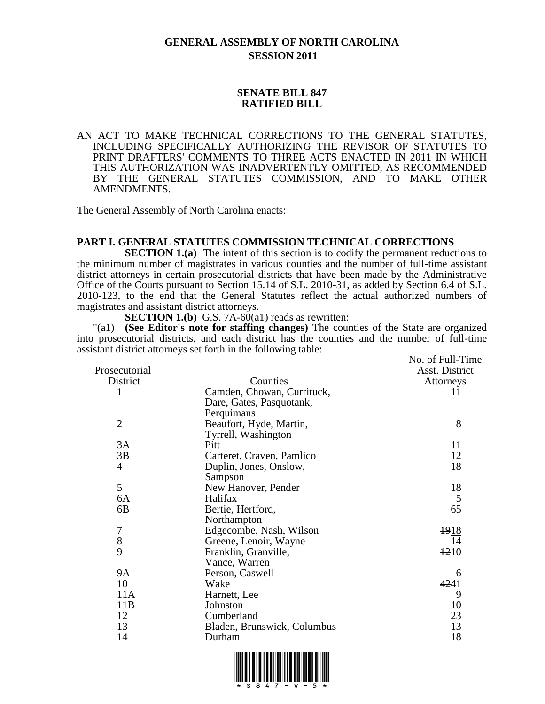# **GENERAL ASSEMBLY OF NORTH CAROLINA SESSION 2011**

## **SENATE BILL 847 RATIFIED BILL**

AN ACT TO MAKE TECHNICAL CORRECTIONS TO THE GENERAL STATUTES, INCLUDING SPECIFICALLY AUTHORIZING THE REVISOR OF STATUTES TO PRINT DRAFTERS' COMMENTS TO THREE ACTS ENACTED IN 2011 IN WHICH THIS AUTHORIZATION WAS INADVERTENTLY OMITTED, AS RECOMMENDED BY THE GENERAL STATUTES COMMISSION, AND TO MAKE OTHER AMENDMENTS.

The General Assembly of North Carolina enacts:

## **PART I. GENERAL STATUTES COMMISSION TECHNICAL CORRECTIONS**

**SECTION 1.(a)** The intent of this section is to codify the permanent reductions to the minimum number of magistrates in various counties and the number of full-time assistant district attorneys in certain prosecutorial districts that have been made by the Administrative Office of the Courts pursuant to Section 15.14 of S.L. 2010-31, as added by Section 6.4 of S.L. 2010-123, to the end that the General Statutes reflect the actual authorized numbers of magistrates and assistant district attorneys.

**SECTION 1.(b)** G.S. 7A-60(a1) reads as rewritten:

"(a1) **(See Editor's note for staffing changes)** The counties of the State are organized into prosecutorial districts, and each district has the counties and the number of full-time assistant district attorneys set forth in the following table:

|                | $\frac{1}{2}$ and $\frac{1}{2}$ and $\frac{1}{2}$ is set form in the following table. |                  |
|----------------|---------------------------------------------------------------------------------------|------------------|
|                |                                                                                       | No. of Full-Time |
| Prosecutorial  |                                                                                       | Asst. District   |
| District       | Counties                                                                              | Attorneys        |
| 1              | Camden, Chowan, Currituck,                                                            | 11               |
|                | Dare, Gates, Pasquotank,                                                              |                  |
|                | Perquimans                                                                            |                  |
| $\overline{2}$ | Beaufort, Hyde, Martin,                                                               | 8                |
|                | Tyrrell, Washington                                                                   |                  |
| 3A             | Pitt                                                                                  | 11               |
| 3B             | Carteret, Craven, Pamlico                                                             | 12               |
| 4              | Duplin, Jones, Onslow,                                                                | 18               |
|                | Sampson                                                                               |                  |
| 5              | New Hanover, Pender                                                                   | 18               |
| 6A             | Halifax                                                                               | 5                |
| 6B             | Bertie, Hertford,                                                                     | 65               |
|                | Northampton                                                                           |                  |
| $\overline{7}$ | Edgecombe, Nash, Wilson                                                               | 1918             |
| 8              | Greene, Lenoir, Wayne                                                                 | 14               |
| 9              | Franklin, Granville,                                                                  | 1210             |
|                | Vance, Warren                                                                         |                  |
| <b>9A</b>      | Person, Caswell                                                                       | 6                |
| 10             | Wake                                                                                  | 4241             |
| 11A            | Harnett, Lee                                                                          | 9                |
| 11B            | Johnston                                                                              | 10               |
| 12             | Cumberland                                                                            | 23               |
| 13             | Bladen, Brunswick, Columbus                                                           | 13               |
| 14             | Durham                                                                                | 18               |
|                |                                                                                       |                  |

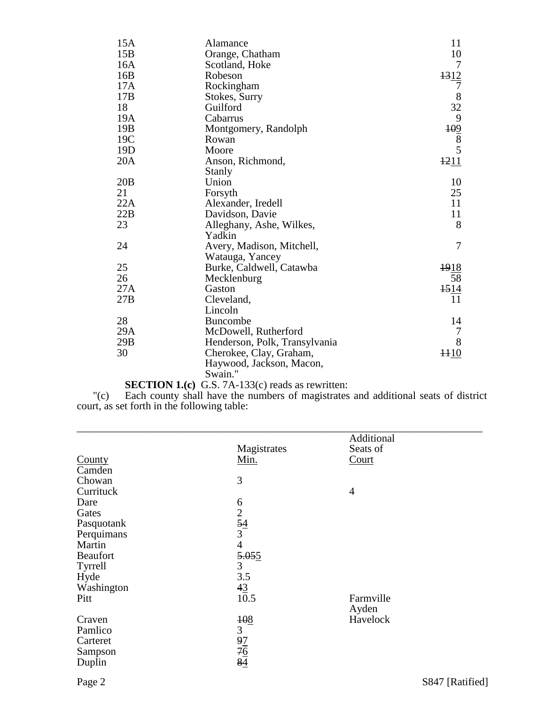| 15A             | Alamance                      | 11               |
|-----------------|-------------------------------|------------------|
| 15B             | Orange, Chatham               | 10               |
| 16A             | Scotland, Hoke                | 7                |
| 16B             | Robeson                       | 1312             |
| 17A             | Rockingham                    | 7                |
| 17B             | Stokes, Surry                 | $8\,$            |
| 18              | Guilford                      | 32               |
| 19A             | Cabarrus                      | 9                |
| 19B             | Montgomery, Randolph          | $\frac{109}{8}$  |
| 19C             | Rowan                         |                  |
| 19 <sub>D</sub> | Moore                         |                  |
| 20A             | Anson, Richmond,              | 1211             |
|                 | Stanly                        |                  |
| 20B             | Union                         | 10               |
| 21              | Forsyth                       | 25               |
| 22A             | Alexander, Iredell            | 11               |
| 22B             | Davidson, Davie               | 11               |
| 23              | Alleghany, Ashe, Wilkes,      | 8                |
|                 | Yadkin                        |                  |
| 24              | Avery, Madison, Mitchell,     | 7                |
|                 | Watauga, Yancey               |                  |
| 25              | Burke, Caldwell, Catawba      | 1918             |
| 26              | Mecklenburg                   | 58               |
| 27A             | Gaston                        | $\frac{1514}{5}$ |
| 27B             | Cleveland,                    | 11               |
|                 | Lincoln                       |                  |
| 28              | <b>Buncombe</b>               | 14               |
| 29A             | McDowell, Rutherford          | 7                |
| 29B             | Henderson, Polk, Transylvania | 8                |
| 30              | Cherokee, Clay, Graham,       | $\frac{1110}{1}$ |
|                 | Haywood, Jackson, Macon,      |                  |
|                 | Swain."                       |                  |

## **SECTION 1.(c)** G.S. 7A-133(c) reads as rewritten:

"(c) Each county shall have the numbers of magistrates and additional seats of district court, as set forth in the following table:

|                 |                                   | Additional        |  |
|-----------------|-----------------------------------|-------------------|--|
|                 | Magistrates                       | Seats of          |  |
| County          | Min.                              | Court             |  |
| Camden          |                                   |                   |  |
| Chowan          | 3                                 |                   |  |
| Currituck       |                                   | $\overline{4}$    |  |
| Dare            |                                   |                   |  |
| Gates           |                                   |                   |  |
| Pasquotank      | $rac{6}{2}$<br>$rac{54}{3}$       |                   |  |
| Perquimans      |                                   |                   |  |
| Martin          | $\overline{4}$                    |                   |  |
| <b>Beaufort</b> | 5.055                             |                   |  |
| Tyrrell         | 3                                 |                   |  |
| Hyde            | 3.5                               |                   |  |
| Washington      | $\frac{43}{10.5}$                 |                   |  |
| Pitt            |                                   | Farmville         |  |
| Craven          | 108                               | Ayden<br>Havelock |  |
| Pamlico         | 3                                 |                   |  |
| Carteret        |                                   |                   |  |
| Sampson         |                                   |                   |  |
| Duplin          | $\frac{97}{76}$<br>$\frac{4}{84}$ |                   |  |
|                 |                                   |                   |  |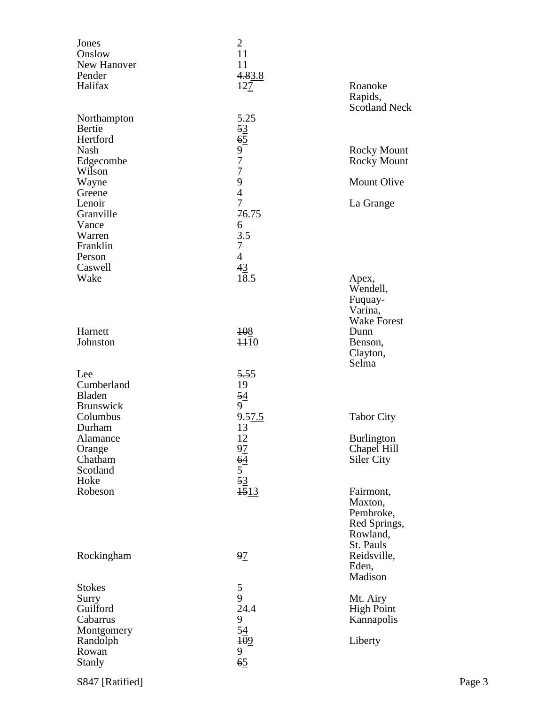| Jones<br>Onslow<br>New Hanover<br>Pender<br>Halifax          | $\overline{2}$<br>11<br>11<br>4.83.8<br>$+27$                             | Roanoke<br>Rapids,<br><b>Scotland Neck</b>                                 |
|--------------------------------------------------------------|---------------------------------------------------------------------------|----------------------------------------------------------------------------|
| Northampton<br>Bertie<br>Hertford                            | 5.25                                                                      |                                                                            |
| Nash<br>Edgecombe<br>Wilson                                  | $\frac{53}{65}$<br>977                                                    | <b>Rocky Mount</b><br><b>Rocky Mount</b>                                   |
| Wayne<br>Greene                                              | 9<br>$\overline{4}$                                                       | Mount Olive                                                                |
| Lenoir<br>Granville<br>Vance<br>Warren<br>Franklin<br>Person | $\overline{7}$<br>76.75<br>6<br>3.5<br>$\boldsymbol{7}$<br>$\overline{4}$ | La Grange                                                                  |
| Caswell<br>Wake                                              | 43<br>18.5                                                                | Apex,<br>Wendell,<br>Fuquay-<br>Varina,<br><b>Wake Forest</b>              |
| Harnett<br>Johnston                                          | 108<br>$+10$                                                              | Dunn<br>Benson,<br>Clayton,<br>Selma                                       |
| Lee<br>Cumberland<br>Bladen<br><b>Brunswick</b>              | 5.55<br>19<br>54<br>9                                                     |                                                                            |
| Columbus<br>Durham                                           | 9.57.5<br>13                                                              | <b>Tabor City</b>                                                          |
| Alamance<br>Orange<br>Chatham<br>Scotland                    | 12<br>$\frac{97}{64}$<br>$\frac{5}{15}$<br>$\frac{3}{15}$                 | <b>Burlington</b><br>Chapel Hill<br>Siler City                             |
| Hoke<br>Robeson                                              |                                                                           | Fairmont,<br>Maxton,<br>Pembroke,<br>Red Springs,<br>Rowland,<br>St. Pauls |
| Rockingham                                                   | 97                                                                        | Reidsville,<br>Eden,<br>Madison                                            |
| <b>Stokes</b><br>Surry<br>Guilford<br>Cabarrus<br>Montgomery | 5<br>9<br>24.4<br>9<br>54                                                 | Mt. Airy<br><b>High Point</b><br>Kannapolis                                |
| Randolph<br>Rowan<br><b>Stanly</b>                           | 109<br>9<br>65                                                            | Liberty                                                                    |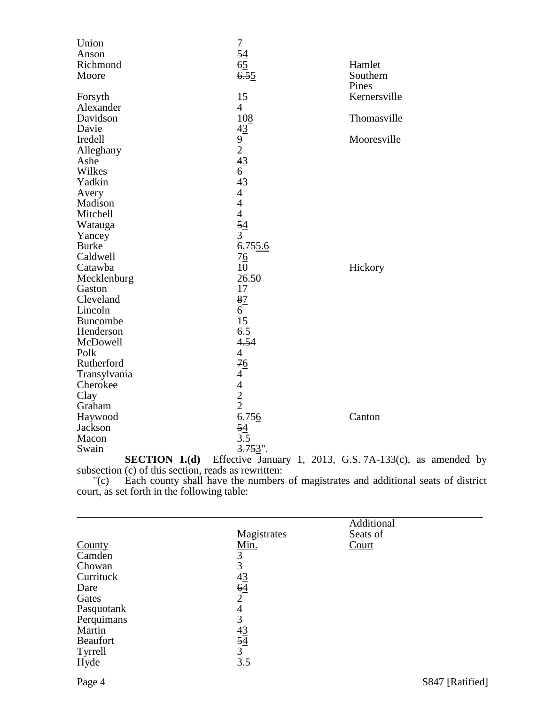| Union                                                                      | $\boldsymbol{7}$                             |                                                            |
|----------------------------------------------------------------------------|----------------------------------------------|------------------------------------------------------------|
| Anson                                                                      |                                              |                                                            |
| Richmond                                                                   |                                              | Hamlet                                                     |
| Moore                                                                      | $rac{54}{65}$<br>$rac{65}{6.55}$             | Southern                                                   |
|                                                                            |                                              | Pines                                                      |
| Forsyth                                                                    | 15                                           | Kernersville                                               |
| Alexander                                                                  | $\overline{4}$                               |                                                            |
| Davidson                                                                   | 108                                          | Thomasville                                                |
| Davie                                                                      |                                              |                                                            |
| Iredell                                                                    |                                              | Mooresville                                                |
| Alleghany                                                                  |                                              |                                                            |
| Ashe                                                                       |                                              |                                                            |
| Wilkes                                                                     |                                              |                                                            |
| Yadkin                                                                     | $43$<br>9 2 4 3<br>6 4 3<br>4 4 4 4 5 4<br>3 |                                                            |
| Avery                                                                      |                                              |                                                            |
| Madison                                                                    |                                              |                                                            |
| Mitchell                                                                   |                                              |                                                            |
| Watauga                                                                    |                                              |                                                            |
| Yancey                                                                     |                                              |                                                            |
| <b>Burke</b>                                                               | 6.755.6                                      |                                                            |
| Caldwell                                                                   | 76                                           |                                                            |
| Catawba                                                                    | 10                                           | Hickory                                                    |
| Mecklenburg                                                                | 26.50                                        |                                                            |
| Gaston                                                                     | 17                                           |                                                            |
| Cleveland                                                                  | 87                                           |                                                            |
| Lincoln                                                                    | 6                                            |                                                            |
| <b>Buncombe</b>                                                            | 15                                           |                                                            |
| Henderson                                                                  | 6.5                                          |                                                            |
| McDowell                                                                   | 4.54                                         |                                                            |
| Polk                                                                       | $\overline{4}$                               |                                                            |
| Rutherford                                                                 | 76                                           |                                                            |
| Transylvania                                                               | $\frac{70}{4}$<br>4<br>2<br>6.756            |                                                            |
| Cherokee                                                                   |                                              |                                                            |
| Clay                                                                       |                                              |                                                            |
| Graham                                                                     |                                              |                                                            |
| Haywood                                                                    |                                              | Canton                                                     |
| Jackson                                                                    |                                              |                                                            |
| Macon                                                                      | $\frac{54}{3.5}$                             |                                                            |
| Swain                                                                      | $3.753$ ".                                   |                                                            |
| CDOMAT<br>$\mathbf{r}$ $\alpha$<br>$\mathbf{r}$<br>$\lambda$ and $\lambda$ | $\sim$ $\sim$ $\sim$                         | $\sim$ $\sim$ $\sim$ $\sim$<br>$\sim$ $\sim$ $\sim$ $\sim$ |

**SECTION 1.(d)** Effective January 1, 2013, G.S. 7A-133(c), as amended by subsection (c) of this section, reads as rewritten:

"(c) Each county shall have the numbers of magistrates and additional seats of district court, as set forth in the following table:

|                |                      | Additional |                 |
|----------------|----------------------|------------|-----------------|
|                | Magistrates          | Seats of   |                 |
| County         | Min.                 | Court      |                 |
| Camden         | 3                    |            |                 |
| Chowan         | 3                    |            |                 |
| Currituck      |                      |            |                 |
| Dare           | $\frac{43}{64}$<br>2 |            |                 |
| Gates          |                      |            |                 |
| Pasquotank     | 4                    |            |                 |
| Perquimans     | 3                    |            |                 |
| Martin         |                      |            |                 |
| Beaufort       | $\frac{43}{54}$<br>3 |            |                 |
| <b>Tyrrell</b> |                      |            |                 |
| Hyde           | 3.5                  |            |                 |
| Page 4         |                      |            | S847 [Ratified] |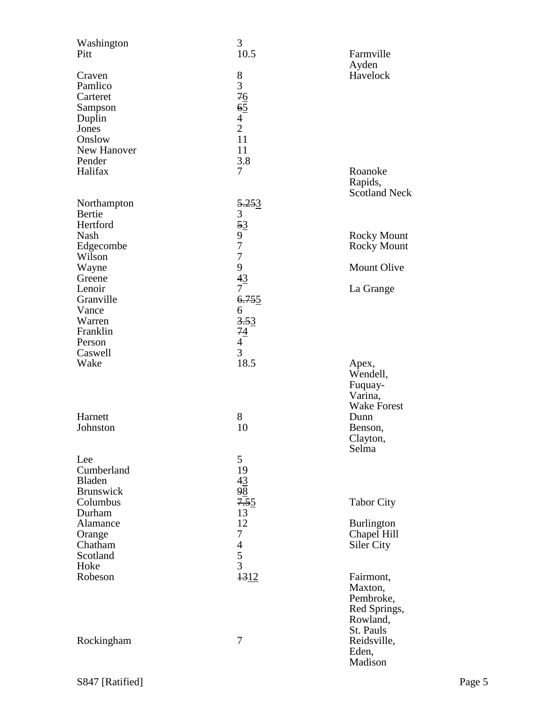| Washington<br>Pitt                                                                             | 3<br>10.5                                           | Farmville                                                                  |
|------------------------------------------------------------------------------------------------|-----------------------------------------------------|----------------------------------------------------------------------------|
| Craven<br>Pamlico<br>Carteret<br>Sampson<br>Duplin<br>Jones<br>Onslow<br>New Hanover<br>Pender | $8376$<br>$65$<br>$42$<br>11<br>11<br>3.8           | Ayden<br>Havelock                                                          |
| Halifax                                                                                        | 7                                                   | Roanoke<br>Rapids,<br><b>Scotland Neck</b>                                 |
| Northampton<br>Bertie<br>Hertford<br><b>Nash</b>                                               | 5.253<br>3<br>53                                    |                                                                            |
| Edgecombe<br>Wilson                                                                            | 9<br>7<br>7                                         | <b>Rocky Mount</b><br><b>Rocky Mount</b>                                   |
| Wayne<br>Greene                                                                                | 9<br>43                                             | <b>Mount Olive</b>                                                         |
| Lenoir<br>Granville<br>Vance<br>Warren<br>Franklin<br>Person                                   | $\tau$<br>6.755<br>6<br>3.53<br>$\frac{74}{4}$<br>3 | La Grange                                                                  |
| Caswell<br>Wake                                                                                | 18.5                                                | Apex,<br>Wendell,<br>Fuquay-<br>Varina,<br><b>Wake Forest</b>              |
| Harnett<br>Johnston                                                                            | 8<br>10                                             | Dunn<br>Benson,<br>Clayton,<br>Selma                                       |
| Lee<br>Cumberland<br><b>Bladen</b><br>Brunswick                                                | 5<br>19<br>$\frac{43}{98}$                          |                                                                            |
| Columbus<br>Durham                                                                             | 7.55<br>13                                          | <b>Tabor City</b>                                                          |
| Alamance<br>Orange<br>Chatham<br>Scotland<br>Hoke                                              | 12<br>$\tau$<br>$\frac{4}{5}$                       | <b>Burlington</b><br>Chapel Hill<br>Siler City                             |
| Robeson                                                                                        | 1312                                                | Fairmont,<br>Maxton,<br>Pembroke,<br>Red Springs,<br>Rowland,<br>St. Pauls |
| Rockingham                                                                                     | 7                                                   | Reidsville,<br>Eden,<br>Madison                                            |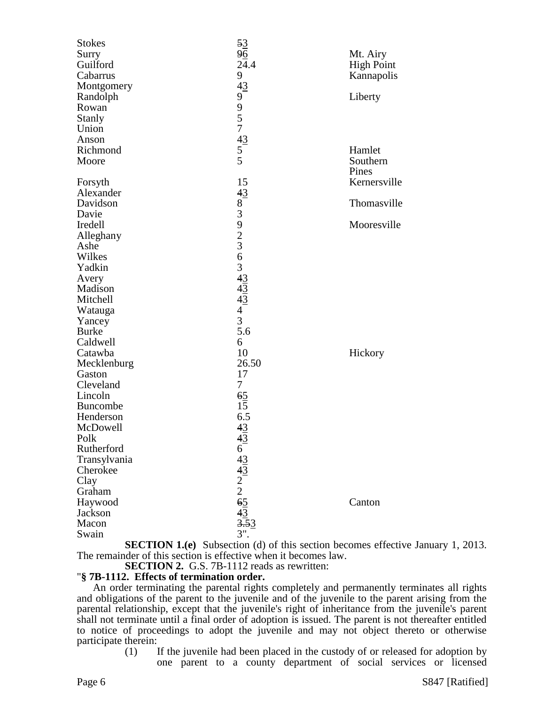| <b>Stokes</b>   | 53                                              |                   |
|-----------------|-------------------------------------------------|-------------------|
| Surry           | 96                                              | Mt. Airy          |
| Guilford        | 24.4                                            | <b>High Point</b> |
| Cabarrus        | 9                                               | Kannapolis        |
| Montgomery      | 43                                              |                   |
| Randolph        | 9                                               | Liberty           |
| Rowan           |                                                 |                   |
| Stanly          | $\begin{array}{c} 9 \\ 5 \\ 7 \end{array}$      |                   |
| Union           |                                                 |                   |
| Anson           | $\frac{43}{5}$                                  |                   |
| Richmond        |                                                 | Hamlet            |
| Moore           | $\overline{5}$                                  | Southern          |
|                 |                                                 | Pines             |
| Forsyth         | 15                                              | Kernersville      |
| Alexander       | 43                                              |                   |
| Davidson        |                                                 | Thomasville       |
| Davie           | $\frac{8}{3}$                                   |                   |
| Iredell         | $\begin{array}{c} 9 \\ 2 \\ 3 \\ 6 \end{array}$ | Mooresville       |
| Alleghany       |                                                 |                   |
| Ashe            |                                                 |                   |
| Wilkes          |                                                 |                   |
| Yadkin          | $\overline{3}$                                  |                   |
| Avery           | $rac{43}{43}$<br>$rac{43}{43}$                  |                   |
| Madison         |                                                 |                   |
| Mitchell        |                                                 |                   |
| Watauga         | $\overline{4}$                                  |                   |
| Yancey          | $\overline{3}$                                  |                   |
| <b>Burke</b>    | 5.6                                             |                   |
| Caldwell        | 6                                               |                   |
| Catawba         | 10                                              | Hickory           |
| Mecklenburg     | 26.50                                           |                   |
| Gaston          | 17                                              |                   |
| Cleveland       | $\tau$                                          |                   |
| Lincoln         | 65                                              |                   |
| <b>Buncombe</b> | 15                                              |                   |
| Henderson       | 6.5                                             |                   |
| McDowell        | 43                                              |                   |
| Polk            | 43                                              |                   |
| Rutherford      |                                                 |                   |
| Transylvania    |                                                 |                   |
| Cherokee        |                                                 |                   |
| Clay            |                                                 |                   |
| Graham          |                                                 |                   |
| Haywood         | $643$<br>$43$<br>$2$<br>$2$<br>$65$<br>$43$     | Canton            |
| Jackson         |                                                 |                   |
| Macon           | $\frac{15}{3.53}$                               |                   |
| Swain           | $3$ ".                                          |                   |

**SECTION 1.(e)** Subsection (d) of this section becomes effective January 1, 2013. The remainder of this section is effective when it becomes law.

**SECTION 2.** G.S. 7B-1112 reads as rewritten:

## "**§ 7B-1112. Effects of termination order.**

An order terminating the parental rights completely and permanently terminates all rights and obligations of the parent to the juvenile and of the juvenile to the parent arising from the parental relationship, except that the juvenile's right of inheritance from the juvenile's parent shall not terminate until a final order of adoption is issued. The parent is not thereafter entitled to notice of proceedings to adopt the juvenile and may not object thereto or otherwise participate therein:

(1) If the juvenile had been placed in the custody of or released for adoption by one parent to a county department of social services or licensed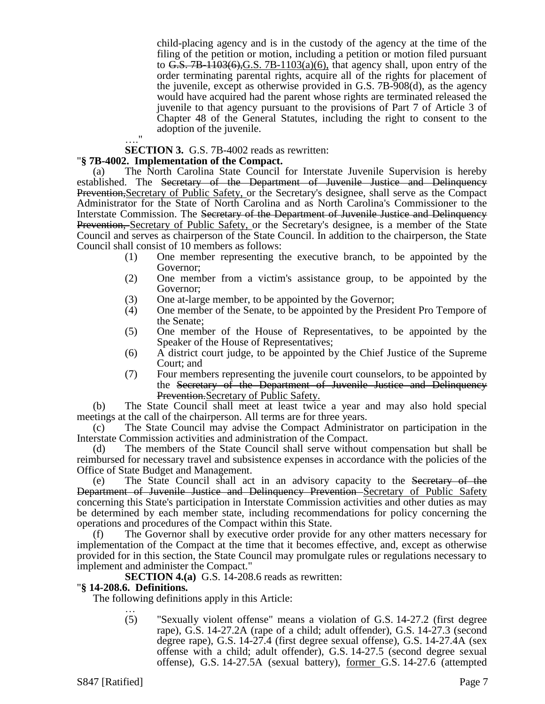child-placing agency and is in the custody of the agency at the time of the filing of the petition or motion, including a petition or motion filed pursuant to G.S.  $7B-1103(6)$ , G.S.  $7B-1103(a)(6)$ , that agency shall, upon entry of the order terminating parental rights, acquire all of the rights for placement of the juvenile, except as otherwise provided in G.S. 7B-908(d), as the agency would have acquired had the parent whose rights are terminated released the juvenile to that agency pursuant to the provisions of Part 7 of Article 3 of Chapter 48 of the General Statutes, including the right to consent to the adoption of the juvenile.

**SECTION 3.** G.S. 7B-4002 reads as rewritten:

## "**§ 7B-4002. Implementation of the Compact.**

 $^{\prime}$ 

(a) The North Carolina State Council for Interstate Juvenile Supervision is hereby established. The Secretary of the Department of Juvenile Justice and Delinquency Prevention,Secretary of Public Safety, or the Secretary's designee, shall serve as the Compact Administrator for the State of North Carolina and as North Carolina's Commissioner to the Interstate Commission. The Secretary of the Department of Juvenile Justice and Delinquency Prevention, Secretary of Public Safety, or the Secretary's designee, is a member of the State Council and serves as chairperson of the State Council. In addition to the chairperson, the State Council shall consist of 10 members as follows:

- (1) One member representing the executive branch, to be appointed by the Governor;
- (2) One member from a victim's assistance group, to be appointed by the Governor;
- (3) One at-large member, to be appointed by the Governor;
- (4) One member of the Senate, to be appointed by the President Pro Tempore of the Senate;
- (5) One member of the House of Representatives, to be appointed by the Speaker of the House of Representatives;
- (6) A district court judge, to be appointed by the Chief Justice of the Supreme Court; and
- (7) Four members representing the juvenile court counselors, to be appointed by the Secretary of the Department of Juvenile Justice and Delinquency Prevention.Secretary of Public Safety.

(b) The State Council shall meet at least twice a year and may also hold special meetings at the call of the chairperson. All terms are for three years.

(c) The State Council may advise the Compact Administrator on participation in the Interstate Commission activities and administration of the Compact.

(d) The members of the State Council shall serve without compensation but shall be reimbursed for necessary travel and subsistence expenses in accordance with the policies of the Office of State Budget and Management.

The State Council shall act in an advisory capacity to the Secretary of the Department of Juvenile Justice and Delinquency Prevention Secretary of Public Safety concerning this State's participation in Interstate Commission activities and other duties as may be determined by each member state, including recommendations for policy concerning the operations and procedures of the Compact within this State.

(f) The Governor shall by executive order provide for any other matters necessary for implementation of the Compact at the time that it becomes effective, and, except as otherwise provided for in this section, the State Council may promulgate rules or regulations necessary to implement and administer the Compact."

**SECTION 4.(a)** G.S. 14-208.6 reads as rewritten:

## "**§ 14-208.6. Definitions.**

The following definitions apply in this Article: …

(5) "Sexually violent offense" means a violation of G.S. 14-27.2 (first degree rape), G.S. 14-27.2A (rape of a child; adult offender), G.S. 14-27.3 (second degree rape), G.S. 14-27.4 (first degree sexual offense), G.S. 14-27.4A (sex offense with a child; adult offender), G.S. 14-27.5 (second degree sexual offense), G.S. 14-27.5A (sexual battery), former G.S. 14-27.6 (attempted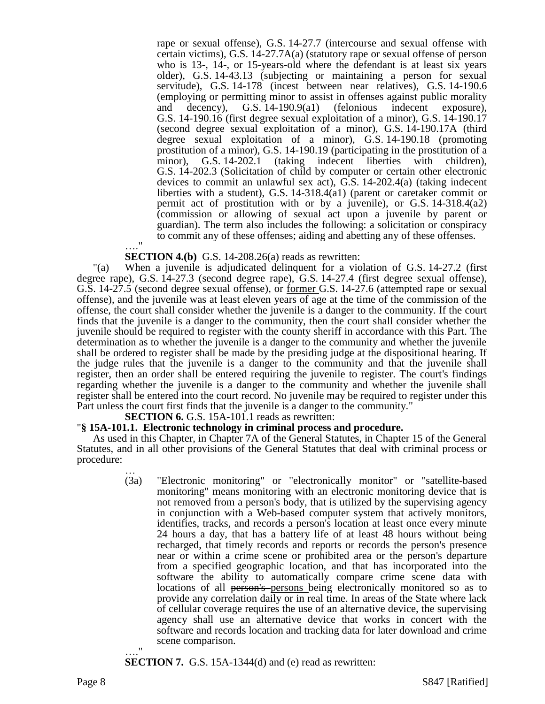rape or sexual offense), G.S. 14-27.7 (intercourse and sexual offense with certain victims), G.S. 14-27.7A(a) (statutory rape or sexual offense of person who is 13-, 14-, or 15-years-old where the defendant is at least six years older), G.S. 14-43.13 (subjecting or maintaining a person for sexual servitude), G.S. 14-178 (incest between near relatives), G.S. 14-190.6 (employing or permitting minor to assist in offenses against public morality and decency), G.S. 14-190.9(a1) (felonious indecent exposure), G.S. 14-190.16 (first degree sexual exploitation of a minor), G.S. 14-190.17 (second degree sexual exploitation of a minor), G.S. 14-190.17A (third degree sexual exploitation of a minor), G.S. 14-190.18 (promoting prostitution of a minor), G.S. 14-190.19 (participating in the prostitution of a minor), G.S. 14-202.1 (taking indecent liberties with children), G.S. 14-202.3 (Solicitation of child by computer or certain other electronic devices to commit an unlawful sex act), G.S. 14-202.4(a) (taking indecent liberties with a student), G.S. 14-318.4(a1) (parent or caretaker commit or permit act of prostitution with or by a juvenile), or G.S.  $14-318.4(a2)$ (commission or allowing of sexual act upon a juvenile by parent or guardian). The term also includes the following: a solicitation or conspiracy to commit any of these offenses; aiding and abetting any of these offenses.

#### …." **SECTION 4.(b)** G.S. 14-208.26(a) reads as rewritten:

"(a) When a juvenile is adjudicated delinquent for a violation of G.S. 14-27.2 (first degree rape), G.S. 14-27.3 (second degree rape), G.S. 14-27.4 (first degree sexual offense), G.S. 14-27.5 (second degree sexual offense), or former G.S. 14-27.6 (attempted rape or sexual offense), and the juvenile was at least eleven years of age at the time of the commission of the offense, the court shall consider whether the juvenile is a danger to the community. If the court finds that the juvenile is a danger to the community, then the court shall consider whether the juvenile should be required to register with the county sheriff in accordance with this Part. The determination as to whether the juvenile is a danger to the community and whether the juvenile shall be ordered to register shall be made by the presiding judge at the dispositional hearing. If the judge rules that the juvenile is a danger to the community and that the juvenile shall register, then an order shall be entered requiring the juvenile to register. The court's findings regarding whether the juvenile is a danger to the community and whether the juvenile shall register shall be entered into the court record. No juvenile may be required to register under this Part unless the court first finds that the juvenile is a danger to the community."

**SECTION 6.** G.S. 15A-101.1 reads as rewritten:

#### "**§ 15A-101.1. Electronic technology in criminal process and procedure.**

As used in this Chapter, in Chapter 7A of the General Statutes, in Chapter 15 of the General Statutes, and in all other provisions of the General Statutes that deal with criminal process or procedure:

> … (3a) "Electronic monitoring" or "electronically monitor" or "satellite-based monitoring" means monitoring with an electronic monitoring device that is not removed from a person's body, that is utilized by the supervising agency in conjunction with a Web-based computer system that actively monitors, identifies, tracks, and records a person's location at least once every minute 24 hours a day, that has a battery life of at least 48 hours without being recharged, that timely records and reports or records the person's presence near or within a crime scene or prohibited area or the person's departure from a specified geographic location, and that has incorporated into the software the ability to automatically compare crime scene data with locations of all person's persons being electronically monitored so as to provide any correlation daily or in real time. In areas of the State where lack of cellular coverage requires the use of an alternative device, the supervising agency shall use an alternative device that works in concert with the software and records location and tracking data for later download and crime scene comparison.

#### **SECTION 7.** G.S. 15A-1344(d) and (e) read as rewritten:

…."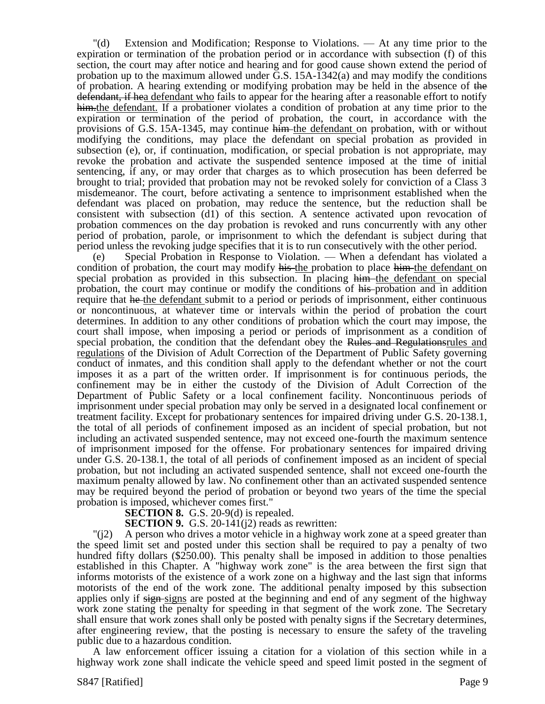"(d) Extension and Modification; Response to Violations. — At any time prior to the expiration or termination of the probation period or in accordance with subsection (f) of this section, the court may after notice and hearing and for good cause shown extend the period of probation up to the maximum allowed under  $\bar{G}$ . S. 15A-1342(a) and may modify the conditions of probation. A hearing extending or modifying probation may be held in the absence of the defendant, if hea defendant who fails to appear for the hearing after a reasonable effort to notify him. the defendant. If a probationer violates a condition of probation at any time prior to the expiration or termination of the period of probation, the court, in accordance with the provisions of G.S. 15A-1345, may continue him the defendant on probation, with or without modifying the conditions, may place the defendant on special probation as provided in subsection (e), or, if continuation, modification, or special probation is not appropriate, may revoke the probation and activate the suspended sentence imposed at the time of initial sentencing, if any, or may order that charges as to which prosecution has been deferred be brought to trial; provided that probation may not be revoked solely for conviction of a Class 3 misdemeanor. The court, before activating a sentence to imprisonment established when the defendant was placed on probation, may reduce the sentence, but the reduction shall be consistent with subsection (d1) of this section. A sentence activated upon revocation of probation commences on the day probation is revoked and runs concurrently with any other period of probation, parole, or imprisonment to which the defendant is subject during that period unless the revoking judge specifies that it is to run consecutively with the other period.

(e) Special Probation in Response to Violation. — When a defendant has violated a condition of probation, the court may modify his the probation to place him the defendant on special probation as provided in this subsection. In placing him the defendant on special probation, the court may continue or modify the conditions of his-probation and in addition require that he the defendant submit to a period or periods of imprisonment, either continuous or noncontinuous, at whatever time or intervals within the period of probation the court determines. In addition to any other conditions of probation which the court may impose, the court shall impose, when imposing a period or periods of imprisonment as a condition of special probation, the condition that the defendant obey the Rules and Regulationsrules and regulations of the Division of Adult Correction of the Department of Public Safety governing conduct of inmates, and this condition shall apply to the defendant whether or not the court imposes it as a part of the written order. If imprisonment is for continuous periods, the confinement may be in either the custody of the Division of Adult Correction of the Department of Public Safety or a local confinement facility. Noncontinuous periods of imprisonment under special probation may only be served in a designated local confinement or treatment facility. Except for probationary sentences for impaired driving under G.S. 20-138.1, the total of all periods of confinement imposed as an incident of special probation, but not including an activated suspended sentence, may not exceed one-fourth the maximum sentence of imprisonment imposed for the offense. For probationary sentences for impaired driving under G.S. 20-138.1, the total of all periods of confinement imposed as an incident of special probation, but not including an activated suspended sentence, shall not exceed one-fourth the maximum penalty allowed by law. No confinement other than an activated suspended sentence may be required beyond the period of probation or beyond two years of the time the special probation is imposed, whichever comes first."

# **SECTION 8.** G.S. 20-9(d) is repealed.

**SECTION 9.** G.S. 20-141(12) reads as rewritten:

"(j2) A person who drives a motor vehicle in a highway work zone at a speed greater than the speed limit set and posted under this section shall be required to pay a penalty of two hundred fifty dollars (\$250.00). This penalty shall be imposed in addition to those penalties established in this Chapter. A "highway work zone" is the area between the first sign that informs motorists of the existence of a work zone on a highway and the last sign that informs motorists of the end of the work zone. The additional penalty imposed by this subsection applies only if signessigns are posted at the beginning and end of any segment of the highway work zone stating the penalty for speeding in that segment of the work zone. The Secretary shall ensure that work zones shall only be posted with penalty signs if the Secretary determines, after engineering review, that the posting is necessary to ensure the safety of the traveling public due to a hazardous condition.

A law enforcement officer issuing a citation for a violation of this section while in a highway work zone shall indicate the vehicle speed and speed limit posted in the segment of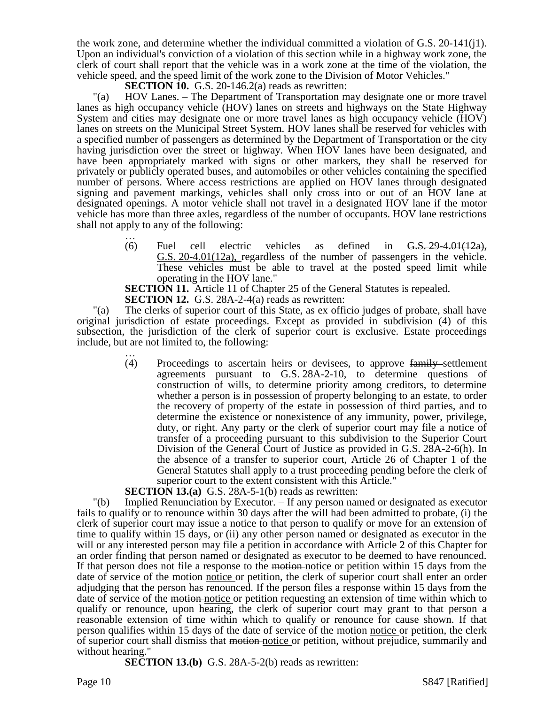the work zone, and determine whether the individual committed a violation of G.S. 20-141(j1). Upon an individual's conviction of a violation of this section while in a highway work zone, the clerk of court shall report that the vehicle was in a work zone at the time of the violation, the vehicle speed, and the speed limit of the work zone to the Division of Motor Vehicles."

**SECTION 10.** G.S. 20-146.2(a) reads as rewritten:

"(a) HOV Lanes. – The Department of Transportation may designate one or more travel lanes as high occupancy vehicle (HOV) lanes on streets and highways on the State Highway System and cities may designate one or more travel lanes as high occupancy vehicle (HOV) lanes on streets on the Municipal Street System. HOV lanes shall be reserved for vehicles with a specified number of passengers as determined by the Department of Transportation or the city having jurisdiction over the street or highway. When HOV lanes have been designated, and have been appropriately marked with signs or other markers, they shall be reserved for privately or publicly operated buses, and automobiles or other vehicles containing the specified number of persons. Where access restrictions are applied on HOV lanes through designated signing and pavement markings, vehicles shall only cross into or out of an HOV lane at designated openings. A motor vehicle shall not travel in a designated HOV lane if the motor vehicle has more than three axles, regardless of the number of occupants. HOV lane restrictions shall not apply to any of the following:

> … (6) Fuel cell electric vehicles as defined in  $6.5, 29-4.01(12a)$ . G.S. 20-4.01(12a), regardless of the number of passengers in the vehicle. These vehicles must be able to travel at the posted speed limit while operating in the HOV lane."

**SECTION 11.** Article 11 of Chapter 25 of the General Statutes is repealed.

**SECTION 12.** G.S. 28A-2-4(a) reads as rewritten:

"(a) The clerks of superior court of this State, as ex officio judges of probate, shall have original jurisdiction of estate proceedings. Except as provided in subdivision (4) of this subsection, the jurisdiction of the clerk of superior court is exclusive. Estate proceedings include, but are not limited to, the following:

… (4) Proceedings to ascertain heirs or devisees, to approve family settlement agreements pursuant to G.S. 28A-2-10, to determine questions of construction of wills, to determine priority among creditors, to determine whether a person is in possession of property belonging to an estate, to order the recovery of property of the estate in possession of third parties, and to determine the existence or nonexistence of any immunity, power, privilege, duty, or right. Any party or the clerk of superior court may file a notice of transfer of a proceeding pursuant to this subdivision to the Superior Court Division of the General Court of Justice as provided in G.S. 28A-2-6(h). In the absence of a transfer to superior court, Article 26 of Chapter 1 of the General Statutes shall apply to a trust proceeding pending before the clerk of superior court to the extent consistent with this Article."

**SECTION 13.(a)** G.S. 28A-5-1(b) reads as rewritten:

"(b) Implied Renunciation by Executor. – If any person named or designated as executor fails to qualify or to renounce within 30 days after the will had been admitted to probate, (i) the clerk of superior court may issue a notice to that person to qualify or move for an extension of time to qualify within 15 days, or (ii) any other person named or designated as executor in the will or any interested person may file a petition in accordance with Article 2 of this Chapter for an order finding that person named or designated as executor to be deemed to have renounced. If that person does not file a response to the motion-notice or petition within 15 days from the date of service of the motion-notice or petition, the clerk of superior court shall enter an order adjudging that the person has renounced. If the person files a response within 15 days from the date of service of the motion notice or petition requesting an extension of time within which to qualify or renounce, upon hearing, the clerk of superior court may grant to that person a reasonable extension of time within which to qualify or renounce for cause shown. If that person qualifies within 15 days of the date of service of the motion notice or petition, the clerk of superior court shall dismiss that motion-notice or petition, without prejudice, summarily and without hearing."

**SECTION 13.(b)** G.S. 28A-5-2(b) reads as rewritten: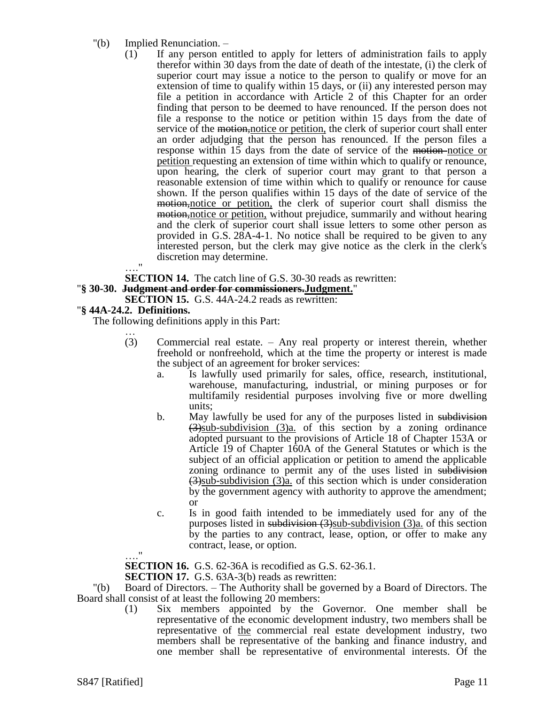- "(b) Implied Renunciation.
	- (1) If any person entitled to apply for letters of administration fails to apply therefor within 30 days from the date of death of the intestate, (i) the clerk of superior court may issue a notice to the person to qualify or move for an extension of time to qualify within 15 days, or (ii) any interested person may file a petition in accordance with Article 2 of this Chapter for an order finding that person to be deemed to have renounced. If the person does not file a response to the notice or petition within 15 days from the date of service of the motion, notice or petition, the clerk of superior court shall enter an order adjudging that the person has renounced. If the person files a response within 15 days from the date of service of the motion-notice or petition requesting an extension of time within which to qualify or renounce, upon hearing, the clerk of superior court may grant to that person a reasonable extension of time within which to qualify or renounce for cause shown. If the person qualifies within 15 days of the date of service of the motion, notice or petition, the clerk of superior court shall dismiss the motion, notice or petition, without prejudice, summarily and without hearing and the clerk of superior court shall issue letters to some other person as provided in G.S. 28A-4-1. No notice shall be required to be given to any interested person, but the clerk may give notice as the clerk in the clerk's discretion may determine.  $^{\dagger}$

**SECTION 14.** The catch line of G.S. 30-30 reads as rewritten:

"**§ 30-30. Judgment and order for commissioners.Judgment.**"

**SECTION 15.** G.S. 44A-24.2 reads as rewritten:

## "**§ 44A-24.2. Definitions.**

The following definitions apply in this Part:

- … (3) Commercial real estate. – Any real property or interest therein, whether freehold or nonfreehold, which at the time the property or interest is made the subject of an agreement for broker services:
	- a. Is lawfully used primarily for sales, office, research, institutional, warehouse, manufacturing, industrial, or mining purposes or for multifamily residential purposes involving five or more dwelling units;
	- b. May lawfully be used for any of the purposes listed in subdivision  $\left(\frac{3}{2}\right)$ sub-subdivision  $\left(\frac{3}{a}\right)$  of this section by a zoning ordinance adopted pursuant to the provisions of Article 18 of Chapter 153A or Article 19 of Chapter 160A of the General Statutes or which is the subject of an official application or petition to amend the applicable zoning ordinance to permit any of the uses listed in subdivision  $(3)$ sub-subdivision (3)a. of this section which is under consideration by the government agency with authority to approve the amendment; or
	- c. Is in good faith intended to be immediately used for any of the purposes listed in subdivision  $(3)$ sub-subdivision  $(3)$ a. of this section by the parties to any contract, lease, option, or offer to make any contract, lease, or option.

…."

**SECTION 16.** G.S. 62-36A is recodified as G.S. 62-36.1.

**SECTION 17.** G.S. 63A-3(b) reads as rewritten:

"(b) Board of Directors. – The Authority shall be governed by a Board of Directors. The Board shall consist of at least the following 20 members:

(1) Six members appointed by the Governor. One member shall be representative of the economic development industry, two members shall be representative of <u>the</u> commercial real estate development industry, two members shall be representative of the banking and finance industry, and one member shall be representative of environmental interests. Of the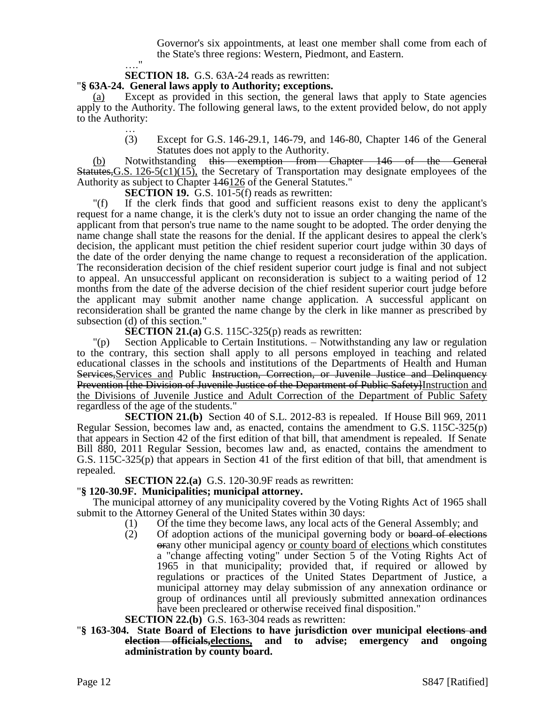Governor's six appointments, at least one member shall come from each of the State's three regions: Western, Piedmont, and Eastern.

# **SECTION 18.** G.S. 63A-24 reads as rewritten:

## "**§ 63A-24. General laws apply to Authority; exceptions.**

 $^{\bullet}$ 

(a) Except as provided in this section, the general laws that apply to State agencies apply to the Authority. The following general laws, to the extent provided below, do not apply to the Authority:

… (3) Except for G.S. 146-29.1, 146-79, and 146-80, Chapter 146 of the General Statutes does not apply to the Authority.

(b) Notwithstanding this exemption from Chapter 146 of the General Statutes,G.S. 126-5(c1)(15), the Secretary of Transportation may designate employees of the Authority as subject to Chapter 146126 of the General Statutes."

**SECTION 19.** G.S. 101-5(f) reads as rewritten:

"(f) If the clerk finds that good and sufficient reasons exist to deny the applicant's request for a name change, it is the clerk's duty not to issue an order changing the name of the applicant from that person's true name to the name sought to be adopted. The order denying the name change shall state the reasons for the denial. If the applicant desires to appeal the clerk's decision, the applicant must petition the chief resident superior court judge within 30 days of the date of the order denying the name change to request a reconsideration of the application. The reconsideration decision of the chief resident superior court judge is final and not subject to appeal. An unsuccessful applicant on reconsideration is subject to a waiting period of 12 months from the date of the adverse decision of the chief resident superior court judge before the applicant may submit another name change application. A successful applicant on reconsideration shall be granted the name change by the clerk in like manner as prescribed by subsection (d) of this section."

**SECTION 21.(a)** G.S. 115C-325(p) reads as rewritten:

"(p) Section Applicable to Certain Institutions. – Notwithstanding any law or regulation to the contrary, this section shall apply to all persons employed in teaching and related educational classes in the schools and institutions of the Departments of Health and Human Services,Services and Public Instruction, Correction, or Juvenile Justice and Delinquency Prevention *f* the Division of Juvenile Justice of the Department of Public Safety Instruction and the Divisions of Juvenile Justice and Adult Correction of the Department of Public Safety regardless of the age of the students."

**SECTION 21.(b)** Section 40 of S.L. 2012-83 is repealed. If House Bill 969, 2011 Regular Session, becomes law and, as enacted, contains the amendment to G.S. 115C-325(p) that appears in Section 42 of the first edition of that bill, that amendment is repealed. If Senate Bill 880, 2011 Regular Session, becomes law and, as enacted, contains the amendment to G.S. 115C-325(p) that appears in Section 41 of the first edition of that bill, that amendment is repealed.

**SECTION 22.(a)** G.S. 120-30.9F reads as rewritten:

## "**§ 120-30.9F. Municipalities; municipal attorney.**

The municipal attorney of any municipality covered by the Voting Rights Act of 1965 shall submit to the Attorney General of the United States within 30 days:

- (1) Of the time they become laws, any local acts of the General Assembly; and
- $(2)$  Of adoption actions of the municipal governing body or board of elections orany other municipal agency or county board of elections which constitutes a "change affecting voting" under Section 5 of the Voting Rights Act of 1965 in that municipality; provided that, if required or allowed by regulations or practices of the United States Department of Justice, a municipal attorney may delay submission of any annexation ordinance or group of ordinances until all previously submitted annexation ordinances have been precleared or otherwise received final disposition."
- **SECTION 22.(b)** G.S. 163-304 reads as rewritten:
- "**§ 163-304. State Board of Elections to have jurisdiction over municipal elections and election officials,elections, and to advise; emergency and ongoing administration by county board.**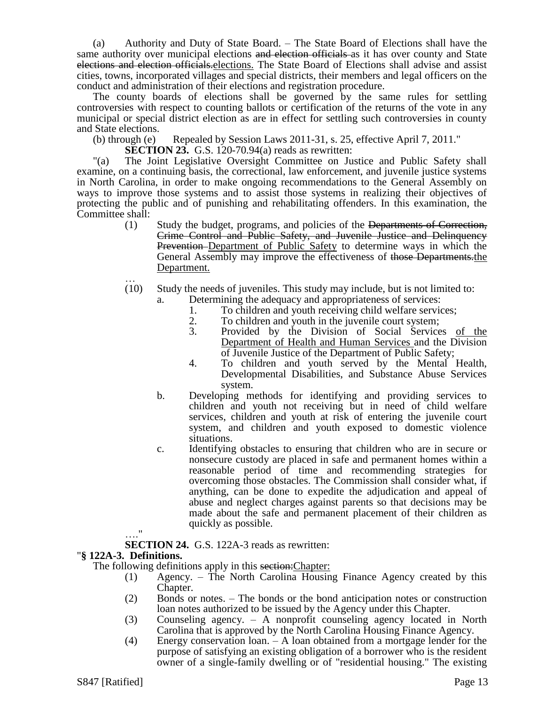(a) Authority and Duty of State Board. – The State Board of Elections shall have the same authority over municipal elections and election officials as it has over county and State elections and election officials.elections. The State Board of Elections shall advise and assist cities, towns, incorporated villages and special districts, their members and legal officers on the conduct and administration of their elections and registration procedure.

The county boards of elections shall be governed by the same rules for settling controversies with respect to counting ballots or certification of the returns of the vote in any municipal or special district election as are in effect for settling such controversies in county and State elections.

- (b) through (e) Repealed by Session Laws  $2011-31$ , s. 25, effective April 7, 2011."
	- **SECTION 23.** G.S. 120-70.94(a) reads as rewritten:

"(a) The Joint Legislative Oversight Committee on Justice and Public Safety shall examine, on a continuing basis, the correctional, law enforcement, and juvenile justice systems in North Carolina, in order to make ongoing recommendations to the General Assembly on ways to improve those systems and to assist those systems in realizing their objectives of protecting the public and of punishing and rehabilitating offenders. In this examination, the Committee shall:

- (1) Study the budget, programs, and policies of the Departments of Correction, Crime Control and Public Safety, and Juvenile Justice and Delinquency Prevention Department of Public Safety to determine ways in which the General Assembly may improve the effectiveness of those Departments.the Department. …
- (10) Study the needs of juveniles. This study may include, but is not limited to:
	- a. Determining the adequacy and appropriateness of services:
		- 1. To children and youth receiving child welfare services;<br>2. To children and youth in the invenile court system:
		- 2. To children and youth in the juvenile court system;<br>3. Provided by the Division of Social Service
		- 3. Provided by the Division of Social Services of the Department of Health and Human Services and the Division of Juvenile Justice of the Department of Public Safety;
		- 4. To children and youth served by the Mental Health, Developmental Disabilities, and Substance Abuse Services system.
	- b. Developing methods for identifying and providing services to children and youth not receiving but in need of child welfare services, children and youth at risk of entering the juvenile court system, and children and youth exposed to domestic violence situations.
	- c. Identifying obstacles to ensuring that children who are in secure or nonsecure custody are placed in safe and permanent homes within a reasonable period of time and recommending strategies for overcoming those obstacles. The Commission shall consider what, if anything, can be done to expedite the adjudication and appeal of abuse and neglect charges against parents so that decisions may be made about the safe and permanent placement of their children as quickly as possible.

# …."

**SECTION 24.** G.S. 122A-3 reads as rewritten:

## "**§ 122A-3. Definitions.**

The following definitions apply in this section: Chapter:

- (1) Agency. The North Carolina Housing Finance Agency created by this Chapter.
- (2) Bonds or notes. The bonds or the bond anticipation notes or construction loan notes authorized to be issued by the Agency under this Chapter.
- (3) Counseling agency. A nonprofit counseling agency located in North Carolina that is approved by the North Carolina Housing Finance Agency.
- (4) Energy conservation loan. A loan obtained from a mortgage lender for the purpose of satisfying an existing obligation of a borrower who is the resident owner of a single-family dwelling or of "residential housing." The existing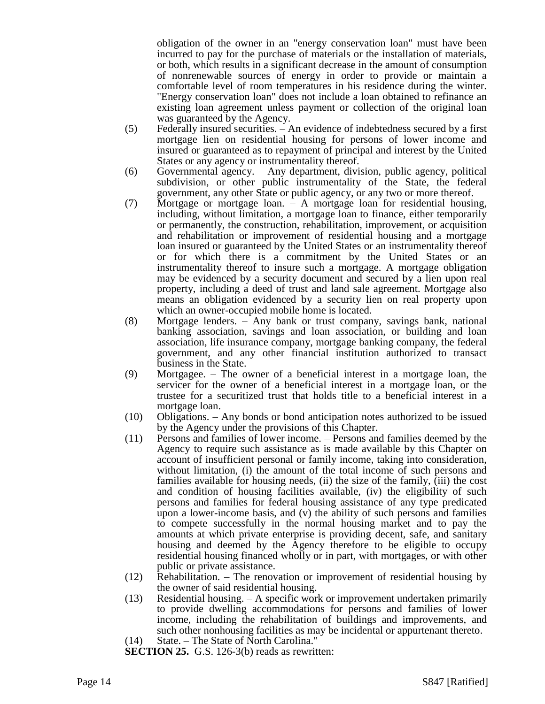obligation of the owner in an "energy conservation loan" must have been incurred to pay for the purchase of materials or the installation of materials, or both, which results in a significant decrease in the amount of consumption of nonrenewable sources of energy in order to provide or maintain a comfortable level of room temperatures in his residence during the winter. "Energy conservation loan" does not include a loan obtained to refinance an existing loan agreement unless payment or collection of the original loan was guaranteed by the Agency.

- (5) Federally insured securities. An evidence of indebtedness secured by a first mortgage lien on residential housing for persons of lower income and insured or guaranteed as to repayment of principal and interest by the United States or any agency or instrumentality thereof.
- (6) Governmental agency. Any department, division, public agency, political subdivision, or other public instrumentality of the State, the federal government, any other State or public agency, or any two or more thereof.
- (7) Mortgage or mortgage loan. A mortgage loan for residential housing, including, without limitation, a mortgage loan to finance, either temporarily or permanently, the construction, rehabilitation, improvement, or acquisition and rehabilitation or improvement of residential housing and a mortgage loan insured or guaranteed by the United States or an instrumentality thereof or for which there is a commitment by the United States or an instrumentality thereof to insure such a mortgage. A mortgage obligation may be evidenced by a security document and secured by a lien upon real property, including a deed of trust and land sale agreement. Mortgage also means an obligation evidenced by a security lien on real property upon which an owner-occupied mobile home is located.
- (8) Mortgage lenders. Any bank or trust company, savings bank, national banking association, savings and loan association, or building and loan association, life insurance company, mortgage banking company, the federal government, and any other financial institution authorized to transact business in the State.
- (9) Mortgagee. The owner of a beneficial interest in a mortgage loan, the servicer for the owner of a beneficial interest in a mortgage loan, or the trustee for a securitized trust that holds title to a beneficial interest in a mortgage loan.
- (10) Obligations. Any bonds or bond anticipation notes authorized to be issued by the Agency under the provisions of this Chapter.
- (11) Persons and families of lower income. Persons and families deemed by the Agency to require such assistance as is made available by this Chapter on account of insufficient personal or family income, taking into consideration, without limitation, (i) the amount of the total income of such persons and families available for housing needs, (ii) the size of the family, (iii) the cost and condition of housing facilities available, (iv) the eligibility of such persons and families for federal housing assistance of any type predicated upon a lower-income basis, and (v) the ability of such persons and families to compete successfully in the normal housing market and to pay the amounts at which private enterprise is providing decent, safe, and sanitary housing and deemed by the Agency therefore to be eligible to occupy residential housing financed wholly or in part, with mortgages, or with other public or private assistance.
- (12) Rehabilitation. The renovation or improvement of residential housing by the owner of said residential housing.
- (13) Residential housing. A specific work or improvement undertaken primarily to provide dwelling accommodations for persons and families of lower income, including the rehabilitation of buildings and improvements, and such other nonhousing facilities as may be incidental or appurtenant thereto.
- (14) State. The State of North Carolina."
- **SECTION 25.** G.S. 126-3(b) reads as rewritten: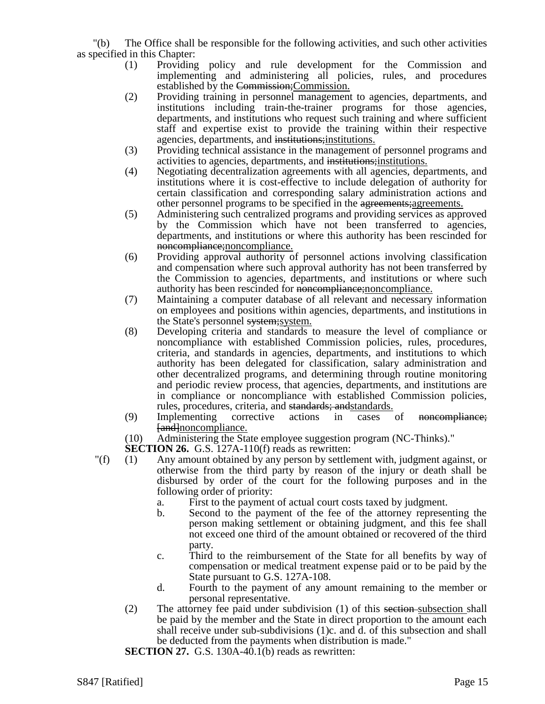"(b) The Office shall be responsible for the following activities, and such other activities as specified in this Chapter:

- (1) Providing policy and rule development for the Commission and implementing and administering all policies, rules, and procedures established by the Commission;Commission.
- (2) Providing training in personnel management to agencies, departments, and institutions including train-the-trainer programs for those agencies, departments, and institutions who request such training and where sufficient staff and expertise exist to provide the training within their respective agencies, departments, and institutions;institutions.
- (3) Providing technical assistance in the management of personnel programs and activities to agencies, departments, and institutions;institutions.
- (4) Negotiating decentralization agreements with all agencies, departments, and institutions where it is cost-effective to include delegation of authority for certain classification and corresponding salary administration actions and other personnel programs to be specified in the agreements;agreements.
- (5) Administering such centralized programs and providing services as approved by the Commission which have not been transferred to agencies, departments, and institutions or where this authority has been rescinded for noncompliance;noncompliance.
- (6) Providing approval authority of personnel actions involving classification and compensation where such approval authority has not been transferred by the Commission to agencies, departments, and institutions or where such authority has been rescinded for noncompliance; noncompliance.
- (7) Maintaining a computer database of all relevant and necessary information on employees and positions within agencies, departments, and institutions in the State's personnel system; system.
- (8) Developing criteria and standards to measure the level of compliance or noncompliance with established Commission policies, rules, procedures, criteria, and standards in agencies, departments, and institutions to which authority has been delegated for classification, salary administration and other decentralized programs, and determining through routine monitoring and periodic review process, that agencies, departments, and institutions are in compliance or noncompliance with established Commission policies, rules, procedures, criteria, and standards; andstandards.
- (9) Implementing corrective actions in cases of noncompliance; [and]noncompliance.
- (10) Administering the State employee suggestion program (NC-Thinks)."

**SECTION 26.** G.S. 127A-110(f) reads as rewritten:

- "(f) (1) Any amount obtained by any person by settlement with, judgment against, or otherwise from the third party by reason of the injury or death shall be disbursed by order of the court for the following purposes and in the following order of priority:
	- a. First to the payment of actual court costs taxed by judgment.
	- b. Second to the payment of the fee of the attorney representing the person making settlement or obtaining judgment, and this fee shall not exceed one third of the amount obtained or recovered of the third party.
	- c. Third to the reimbursement of the State for all benefits by way of compensation or medical treatment expense paid or to be paid by the State pursuant to G.S. 127A-108.
	- d. Fourth to the payment of any amount remaining to the member or personal representative.
	- (2) The attorney fee paid under subdivision (1) of this section subsection shall be paid by the member and the State in direct proportion to the amount each shall receive under sub-subdivisions (1)c. and d. of this subsection and shall be deducted from the payments when distribution is made."

**SECTION 27.** G.S. 130A-40.1(b) reads as rewritten: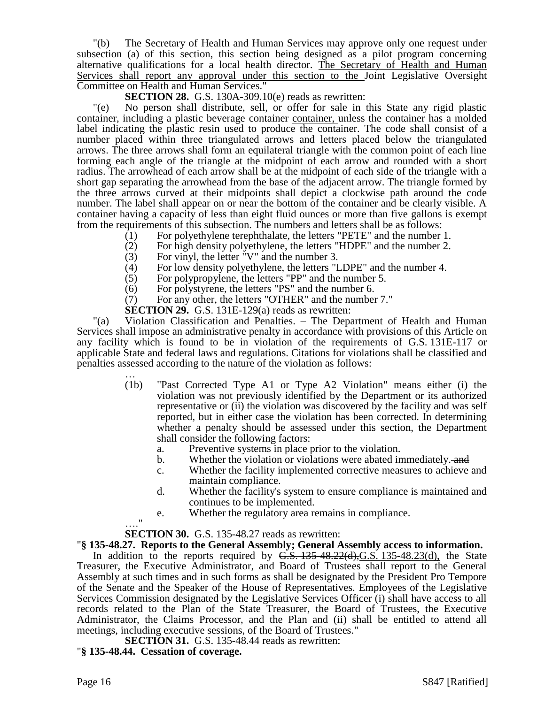"(b) The Secretary of Health and Human Services may approve only one request under subsection (a) of this section, this section being designed as a pilot program concerning alternative qualifications for a local health director. The Secretary of Health and Human Services shall report any approval under this section to the Joint Legislative Oversight Committee on Health and Human Services."

**SECTION 28.** G.S. 130A-309.10(e) reads as rewritten:

"(e) No person shall distribute, sell, or offer for sale in this State any rigid plastic container, including a plastic beverage container container, unless the container has a molded label indicating the plastic resin used to produce the container. The code shall consist of a number placed within three triangulated arrows and letters placed below the triangulated arrows. The three arrows shall form an equilateral triangle with the common point of each line forming each angle of the triangle at the midpoint of each arrow and rounded with a short radius. The arrowhead of each arrow shall be at the midpoint of each side of the triangle with a short gap separating the arrowhead from the base of the adjacent arrow. The triangle formed by the three arrows curved at their midpoints shall depict a clockwise path around the code number. The label shall appear on or near the bottom of the container and be clearly visible. A container having a capacity of less than eight fluid ounces or more than five gallons is exempt from the requirements of this subsection. The numbers and letters shall be as follows:

- (1) For polyethylene terephthalate, the letters "PETE" and the number 1.
- (2) For high density polyethylene, the letters "HDPE" and the number 2.
- (3) For vinyl, the letter "V" and the number 3.
- (4) For low density polyethylene, the letters "LDPE" and the number 4.<br>(5) For polypropylene, the letters "PP" and the number 5.
- For polypropylene, the letters "PP" and the number 5.
- (6) For polystyrene, the letters "PS" and the number 6.
- (7) For any other, the letters "OTHER" and the number 7."
- **SECTION 29.** G.S. 131E-129(a) reads as rewritten:

"(a) Violation Classification and Penalties. – The Department of Health and Human Services shall impose an administrative penalty in accordance with provisions of this Article on any facility which is found to be in violation of the requirements of G.S. 131E-117 or applicable State and federal laws and regulations. Citations for violations shall be classified and penalties assessed according to the nature of the violation as follows:

- … (1b) "Past Corrected Type A1 or Type A2 Violation" means either (i) the violation was not previously identified by the Department or its authorized representative or (ii) the violation was discovered by the facility and was self reported, but in either case the violation has been corrected. In determining whether a penalty should be assessed under this section, the Department shall consider the following factors:
	- a. Preventive systems in place prior to the violation.
	- b. Whether the violation or violations were abated immediately. and
	- c. Whether the facility implemented corrective measures to achieve and maintain compliance.
	- d. Whether the facility's system to ensure compliance is maintained and continues to be implemented.
	- e. Whether the regulatory area remains in compliance.

## **SECTION 30.** G.S. 135-48.27 reads as rewritten:

## "**§ 135-48.27. Reports to the General Assembly; General Assembly access to information.**

In addition to the reports required by  $G.S. 135-48.22(d), G.S. 135-48.23(d),$  the State Treasurer, the Executive Administrator, and Board of Trustees shall report to the General Assembly at such times and in such forms as shall be designated by the President Pro Tempore of the Senate and the Speaker of the House of Representatives. Employees of the Legislative Services Commission designated by the Legislative Services Officer (i) shall have access to all records related to the Plan of the State Treasurer, the Board of Trustees, the Executive Administrator, the Claims Processor, and the Plan and (ii) shall be entitled to attend all meetings, including executive sessions, of the Board of Trustees."

**SECTION 31.** G.S. 135-48.44 reads as rewritten:

## "**§ 135-48.44. Cessation of coverage.**

 $^{\prime}$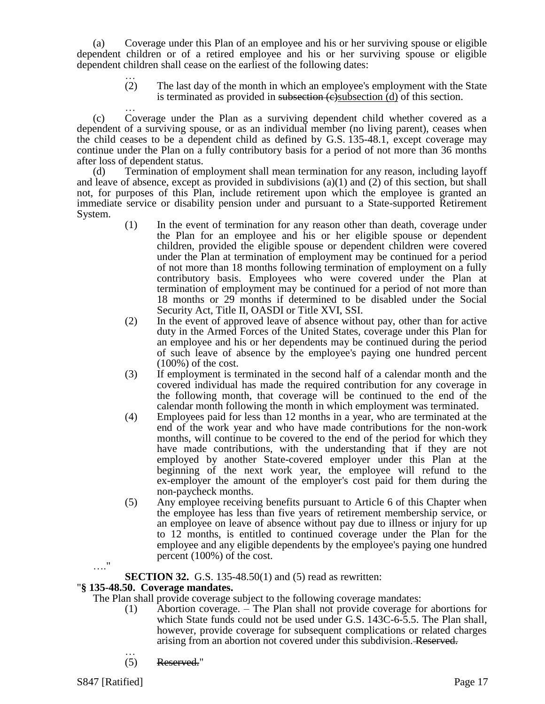(a) Coverage under this Plan of an employee and his or her surviving spouse or eligible dependent children or of a retired employee and his or her surviving spouse or eligible dependent children shall cease on the earliest of the following dates:

> … (2) The last day of the month in which an employee's employment with the State is terminated as provided in subsection (e)subsection (d) of this section.

… (c) Coverage under the Plan as a surviving dependent child whether covered as a dependent of a surviving spouse, or as an individual member (no living parent), ceases when the child ceases to be a dependent child as defined by G.S. 135-48.1, except coverage may continue under the Plan on a fully contributory basis for a period of not more than 36 months after loss of dependent status.

(d) Termination of employment shall mean termination for any reason, including layoff and leave of absence, except as provided in subdivisions (a)(1) and (2) of this section, but shall not, for purposes of this Plan, include retirement upon which the employee is granted an immediate service or disability pension under and pursuant to a State-supported Retirement System.

- (1) In the event of termination for any reason other than death, coverage under the Plan for an employee and his or her eligible spouse or dependent children, provided the eligible spouse or dependent children were covered under the Plan at termination of employment may be continued for a period of not more than 18 months following termination of employment on a fully contributory basis. Employees who were covered under the Plan at termination of employment may be continued for a period of not more than 18 months or 29 months if determined to be disabled under the Social Security Act, Title II, OASDI or Title XVI, SSI.
- (2) In the event of approved leave of absence without pay, other than for active duty in the Armed Forces of the United States, coverage under this Plan for an employee and his or her dependents may be continued during the period of such leave of absence by the employee's paying one hundred percent  $(100\%)$  of the cost.
- (3) If employment is terminated in the second half of a calendar month and the covered individual has made the required contribution for any coverage in the following month, that coverage will be continued to the end of the calendar month following the month in which employment was terminated.
- (4) Employees paid for less than 12 months in a year, who are terminated at the end of the work year and who have made contributions for the non-work months, will continue to be covered to the end of the period for which they have made contributions, with the understanding that if they are not employed by another State-covered employer under this Plan at the beginning of the next work year, the employee will refund to the ex-employer the amount of the employer's cost paid for them during the non-paycheck months.
- (5) Any employee receiving benefits pursuant to Article 6 of this Chapter when the employee has less than five years of retirement membership service, or an employee on leave of absence without pay due to illness or injury for up to 12 months, is entitled to continued coverage under the Plan for the employee and any eligible dependents by the employee's paying one hundred percent (100%) of the cost.

# **SECTION 32.** G.S. 135-48.50(1) and (5) read as rewritten:

# "**§ 135-48.50. Coverage mandates.**

The Plan shall provide coverage subject to the following coverage mandates:

- (1) Abortion coverage. The Plan shall not provide coverage for abortions for which State funds could not be used under G.S. 143C-6-5.5. The Plan shall, however, provide coverage for subsequent complications or related charges arising from an abortion not covered under this subdivision. Reserved.
- … (5) Reserved."

…."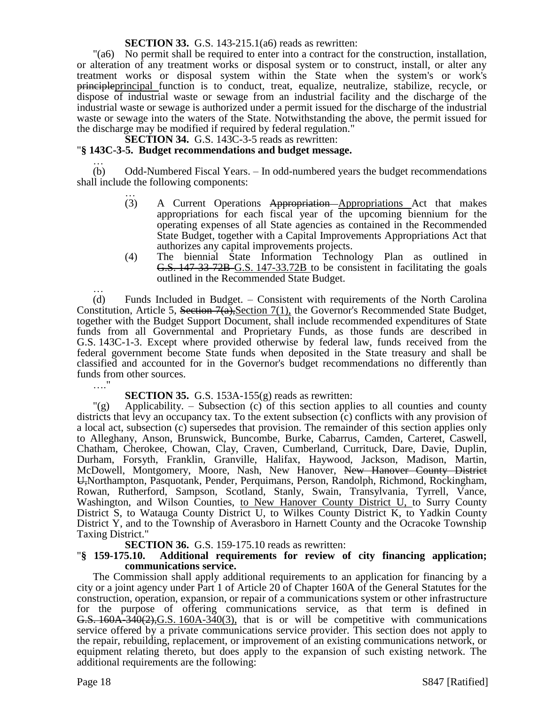**SECTION 33.** G.S. 143-215.1(a6) reads as rewritten:

"(a6) No permit shall be required to enter into a contract for the construction, installation, or alteration of any treatment works or disposal system or to construct, install, or alter any treatment works or disposal system within the State when the system's or work's principleprincipal function is to conduct, treat, equalize, neutralize, stabilize, recycle, or dispose of industrial waste or sewage from an industrial facility and the discharge of the industrial waste or sewage is authorized under a permit issued for the discharge of the industrial waste or sewage into the waters of the State. Notwithstanding the above, the permit issued for the discharge may be modified if required by federal regulation."

**SECTION 34.** G.S. 143C-3-5 reads as rewritten:

## "**§ 143C-3-5. Budget recommendations and budget message.**

… (b) Odd-Numbered Fiscal Years. – In odd-numbered years the budget recommendations shall include the following components:

- … (3) A Current Operations Appropriation Appropriations Act that makes appropriations for each fiscal year of the upcoming biennium for the operating expenses of all State agencies as contained in the Recommended State Budget, together with a Capital Improvements Appropriations Act that authorizes any capital improvements projects.
- (4) The biennial State Information Technology Plan as outlined in G.S. 147-33-72B G.S. 147-33.72B to be consistent in facilitating the goals outlined in the Recommended State Budget.

… (d) Funds Included in Budget. – Consistent with requirements of the North Carolina Constitution, Article 5, Section 7(a), Section 7(1), the Governor's Recommended State Budget, together with the Budget Support Document, shall include recommended expenditures of State funds from all Governmental and Proprietary Funds, as those funds are described in G.S. 143C-1-3. Except where provided otherwise by federal law, funds received from the federal government become State funds when deposited in the State treasury and shall be classified and accounted for in the Governor's budget recommendations no differently than funds from other sources. …"

**SECTION 35.** G.S. 153A-155(g) reads as rewritten:

 $\Gamma(g)$  Applicability. – Subsection (c) of this section applies to all counties and county districts that levy an occupancy tax. To the extent subsection (c) conflicts with any provision of a local act, subsection (c) supersedes that provision. The remainder of this section applies only to Alleghany, Anson, Brunswick, Buncombe, Burke, Cabarrus, Camden, Carteret, Caswell, Chatham, Cherokee, Chowan, Clay, Craven, Cumberland, Currituck, Dare, Davie, Duplin, Durham, Forsyth, Franklin, Granville, Halifax, Haywood, Jackson, Madison, Martin, McDowell, Montgomery, Moore, Nash, New Hanover, New Hanover County District U,Northampton, Pasquotank, Pender, Perquimans, Person, Randolph, Richmond, Rockingham, Rowan, Rutherford, Sampson, Scotland, Stanly, Swain, Transylvania, Tyrrell, Vance, Washington, and Wilson Counties, to New Hanover County District U, to Surry County District S, to Watauga County District U, to Wilkes County District K, to Yadkin County District Y, and to the Township of Averasboro in Harnett County and the Ocracoke Township Taxing District."

**SECTION 36.** G.S. 159-175.10 reads as rewritten:

#### "**§ 159-175.10. Additional requirements for review of city financing application; communications service.**

The Commission shall apply additional requirements to an application for financing by a city or a joint agency under Part 1 of Article 20 of Chapter 160A of the General Statutes for the construction, operation, expansion, or repair of a communications system or other infrastructure for the purpose of offering communications service, as that term is defined in G.S. 160A-340(2), G.S. 160A-340(3), that is or will be competitive with communications service offered by a private communications service provider. This section does not apply to the repair, rebuilding, replacement, or improvement of an existing communications network, or equipment relating thereto, but does apply to the expansion of such existing network. The additional requirements are the following: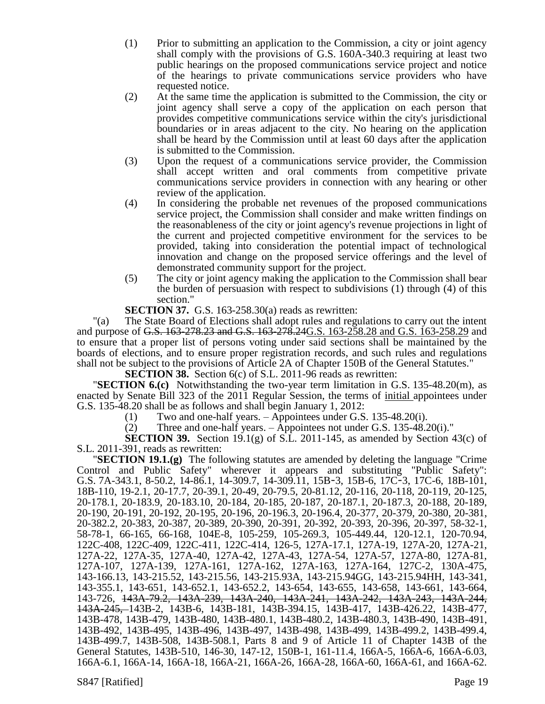- (1) Prior to submitting an application to the Commission, a city or joint agency shall comply with the provisions of G.S. 160A-340.3 requiring at least two public hearings on the proposed communications service project and notice of the hearings to private communications service providers who have requested notice.
- (2) At the same time the application is submitted to the Commission, the city or joint agency shall serve a copy of the application on each person that provides competitive communications service within the city's jurisdictional boundaries or in areas adjacent to the city. No hearing on the application shall be heard by the Commission until at least 60 days after the application is submitted to the Commission.
- (3) Upon the request of a communications service provider, the Commission shall accept written and oral comments from competitive private communications service providers in connection with any hearing or other review of the application.
- (4) In considering the probable net revenues of the proposed communications service project, the Commission shall consider and make written findings on the reasonableness of the city or joint agency's revenue projections in light of the current and projected competitive environment for the services to be provided, taking into consideration the potential impact of technological innovation and change on the proposed service offerings and the level of demonstrated community support for the project.
- (5) The city or joint agency making the application to the Commission shall bear the burden of persuasion with respect to subdivisions (1) through (4) of this section."

**SECTION 37.** G.S. 163-258.30(a) reads as rewritten:

"(a) The State Board of Elections shall adopt rules and regulations to carry out the intent and purpose of G.S. 163-278.23 and G.S. 163-278.24G.S. 163-258.28 and G.S. 163-258.29 and to ensure that a proper list of persons voting under said sections shall be maintained by the boards of elections, and to ensure proper registration records, and such rules and regulations shall not be subject to the provisions of Article 2A of Chapter 150B of the General Statutes."

**SECTION 38.** Section 6(c) of S.L. 2011-96 reads as rewritten:

"**SECTION 6.(c)** Notwithstanding the two-year term limitation in G.S. 135-48.20(m), as enacted by Senate Bill 323 of the 2011 Regular Session, the terms of initial appointees under G.S. 135-48.20 shall be as follows and shall begin January 1, 2012:

(1) Two and one-half years. – Appointees under G.S. 135-48.20(i).

(2) Three and one-half years. – Appointees not under G.S. 135-48.20(i)."

**SECTION 39.** Section 19.1(g) of S.L. 2011-145, as amended by Section 43(c) of S.L. 2011-391, reads as rewritten:

"**SECTION 19.1.(g)** The following statutes are amended by deleting the language "Crime Control and Public Safety" wherever it appears and substituting "Public Safety": G.S. 7A-343.1, 8-50.2, 14-86.1, 14-309.7, 14-309.11, 15B‑3, 15B-6, 17C‑3, 17C-6, 18B-101, 18B-110, 19-2.1, 20-17.7, 20-39.1, 20-49, 20-79.5, 20-81.12, 20-116, 20-118, 20-119, 20-125, 20-178.1, 20-183.9, 20-183.10, 20-184, 20-185, 20-187, 20-187.1, 20-187.3, 20-188, 20-189, 20-190, 20-191, 20-192, 20-195, 20-196, 20-196.3, 20-196.4, 20-377, 20-379, 20-380, 20-381, 20-382.2, 20-383, 20-387, 20-389, 20-390, 20-391, 20-392, 20-393, 20-396, 20-397, 58-32-1, 58-78-1, 66-165, 66-168, 104E-8, 105-259, 105-269.3, 105-449.44, 120-12.1, 120-70.94, 122C-408, 122C-409, 122C-411, 122C-414, 126-5, 127A-17.1, 127A-19, 127A-20, 127A-21, 127A-22, 127A-35, 127A-40, 127A-42, 127A-43, 127A-54, 127A-57, 127A-80, 127A-81, 127A-107, 127A-139, 127A-161, 127A-162, 127A-163, 127A-164, 127C-2, 130A-475, 143-166.13, 143-215.52, 143-215.56, 143-215.93A, 143-215.94GG, 143-215.94HH, 143-341, 143-355.1, 143-651, 143-652.1, 143-652.2, 143-654, 143-655, 143-658, 143-661, 143-664, 143-726, 143A-79.2, 143A-239, 143A-240, 143A-241, 143A-242, 143A-243, 143A-244, 143A-245, 143B-2, 143B-6, 143B-181, 143B-394.15, 143B-417, 143B-426.22, 143B-477, 143B-478, 143B-479, 143B-480, 143B-480.1, 143B-480.2, 143B-480.3, 143B-490, 143B-491, 143B-492, 143B-495, 143B-496, 143B-497, 143B-498, 143B-499, 143B-499.2, 143B-499.4, 143B-499.7, 143B-508, 143B-508.1, Parts 8 and 9 of Article 11 of Chapter 143B of the General Statutes, 143B-510, 146-30, 147-12, 150B-1, 161-11.4, 166A-5, 166A-6, 166A-6.03, 166A-6.1, 166A-14, 166A-18, 166A-21, 166A-26, 166A-28, 166A-60, 166A-61, and 166A-62.

S847 [Ratified] Page 19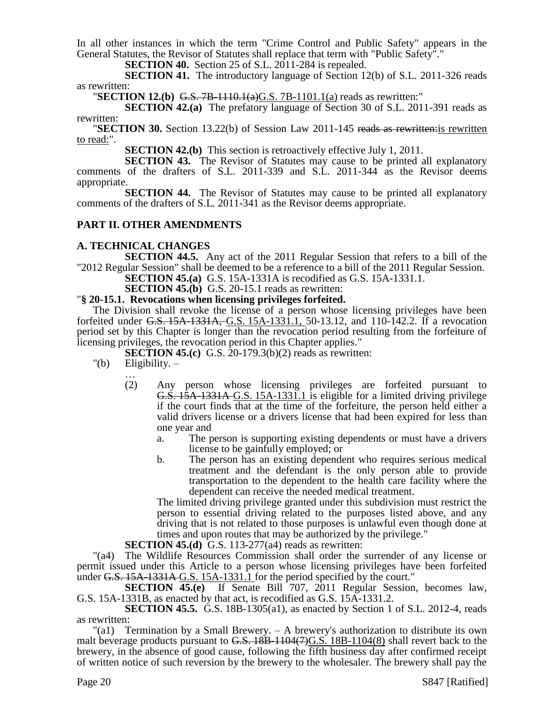In all other instances in which the term "Crime Control and Public Safety" appears in the General Statutes, the Revisor of Statutes shall replace that term with "Public Safety"."

**SECTION 40.** Section 25 of S.L. 2011-284 is repealed.

**SECTION 41.** The introductory language of Section 12(b) of S.L. 2011-326 reads as rewritten:

**"SECTION 12.(b)** G.S. 7B-1110.1(a)G.S. 7B-1101.1(a) reads as rewritten:"

**SECTION 42.(a)** The prefatory language of Section 30 of S.L. 2011-391 reads as rewritten:

**"SECTION 30.** Section 13.22(b) of Session Law 2011-145 reads as rewritteneris rewritten to read:".

**SECTION 42.(b)** This section is retroactively effective July 1, 2011.

**SECTION 43.** The Revisor of Statutes may cause to be printed all explanatory comments of the drafters of S.L. 2011-339 and S.L. 2011-344 as the Revisor deems appropriate.

**SECTION 44.** The Revisor of Statutes may cause to be printed all explanatory comments of the drafters of S.L. 2011-341 as the Revisor deems appropriate.

## **PART II. OTHER AMENDMENTS**

## **A. TECHNICAL CHANGES**

**SECTION 44.5.** Any act of the 2011 Regular Session that refers to a bill of the "2012 Regular Session" shall be deemed to be a reference to a bill of the 2011 Regular Session.

**SECTION 45.(a)** G.S. 15A-1331A is recodified as G.S. 15A-1331.1.

**SECTION 45.(b)** G.S. 20-15.1 reads as rewritten:

#### "**§ 20-15.1. Revocations when licensing privileges forfeited.**

The Division shall revoke the license of a person whose licensing privileges have been forfeited under G.S. 15A-1331A, G.S. 15A-1331.1, 50-13.12, and 110-142.2. If a revocation period set by this Chapter is longer than the revocation period resulting from the forfeiture of licensing privileges, the revocation period in this Chapter applies."

**SECTION 45.(c)** G.S. 20-179.3(b)(2) reads as rewritten:

- $"$ (b) Eligibility.  $-$ 
	- … (2) Any person whose licensing privileges are forfeited pursuant to G.S. 15A-1331A G.S. 15A-1331.1 is eligible for a limited driving privilege if the court finds that at the time of the forfeiture, the person held either a valid drivers license or a drivers license that had been expired for less than one year and
		- a. The person is supporting existing dependents or must have a drivers license to be gainfully employed; or
		- b. The person has an existing dependent who requires serious medical treatment and the defendant is the only person able to provide transportation to the dependent to the health care facility where the dependent can receive the needed medical treatment.

The limited driving privilege granted under this subdivision must restrict the person to essential driving related to the purposes listed above, and any driving that is not related to those purposes is unlawful even though done at times and upon routes that may be authorized by the privilege."

**SECTION 45.(d)** G.S. 113-277(a4) reads as rewritten:

"(a4) The Wildlife Resources Commission shall order the surrender of any license or permit issued under this Article to a person whose licensing privileges have been forfeited under G.S. 15A-1331A-G.S. 15A-1331.1 for the period specified by the court."

**SECTION 45.(e)** If Senate Bill 707, 2011 Regular Session, becomes law, G.S. 15A-1331B, as enacted by that act, is recodified as G.S. 15A-1331.2.

**SECTION 45.5.** G.S. 18B-1305(a1), as enacted by Section 1 of S.L. 2012-4, reads as rewritten:

"(a1) Termination by a Small Brewery. – A brewery's authorization to distribute its own malt beverage products pursuant to  $G.S. 18B-1104(7)G.S. 18B-1104(8)$  shall revert back to the brewery, in the absence of good cause, following the fifth business day after confirmed receipt of written notice of such reversion by the brewery to the wholesaler. The brewery shall pay the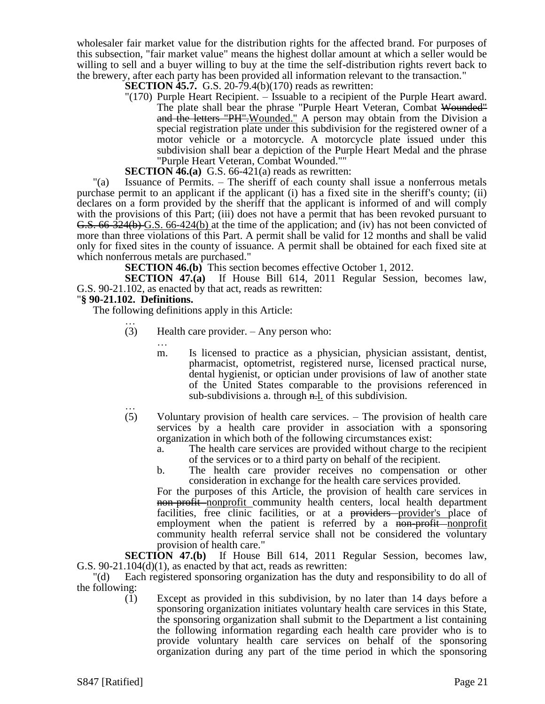wholesaler fair market value for the distribution rights for the affected brand. For purposes of this subsection, "fair market value" means the highest dollar amount at which a seller would be willing to sell and a buyer willing to buy at the time the self-distribution rights revert back to the brewery, after each party has been provided all information relevant to the transaction."

**SECTION 45.7.** G.S. 20-79.4(b)(170) reads as rewritten:

"(170) Purple Heart Recipient. – Issuable to a recipient of the Purple Heart award. The plate shall bear the phrase "Purple Heart Veteran, Combat Wounded" and the letters "PH". Wounded." A person may obtain from the Division a special registration plate under this subdivision for the registered owner of a motor vehicle or a motorcycle. A motorcycle plate issued under this subdivision shall bear a depiction of the Purple Heart Medal and the phrase "Purple Heart Veteran, Combat Wounded.""

**SECTION 46.(a)** G.S. 66-421(a) reads as rewritten:

"(a) Issuance of Permits. – The sheriff of each county shall issue a nonferrous metals purchase permit to an applicant if the applicant (i) has a fixed site in the sheriff's county; (ii) declares on a form provided by the sheriff that the applicant is informed of and will comply with the provisions of this Part; (iii) does not have a permit that has been revoked pursuant to G.S. 66-324(b) G.S. 66-424(b) at the time of the application; and (iv) has not been convicted of more than three violations of this Part. A permit shall be valid for 12 months and shall be valid only for fixed sites in the county of issuance. A permit shall be obtained for each fixed site at which nonferrous metals are purchased."

**SECTION 46.(b)** This section becomes effective October 1, 2012.

**SECTION 47.(a)** If House Bill 614, 2011 Regular Session, becomes law, G.S. 90-21.102, as enacted by that act, reads as rewritten:

#### "**§ 90-21.102. Definitions.**

…

The following definitions apply in this Article:

- … (3) Health care provider. – Any person who:
	- m. Is licensed to practice as a physician, physician assistant, dentist, pharmacist, optometrist, registered nurse, licensed practical nurse, dental hygienist, or optician under provisions of law of another state of the United States comparable to the provisions referenced in sub-subdivisions a. through  $\overline{n}$ . of this subdivision.
- … (5) Voluntary provision of health care services. – The provision of health care services by a health care provider in association with a sponsoring organization in which both of the following circumstances exist:
	- a. The health care services are provided without charge to the recipient of the services or to a third party on behalf of the recipient.
	- b. The health care provider receives no compensation or other consideration in exchange for the health care services provided.

For the purposes of this Article, the provision of health care services in non-profit-nonprofit community health centers, local health department facilities, free clinic facilities, or at a providers provider's place of employment when the patient is referred by a non-profit-nonprofit community health referral service shall not be considered the voluntary provision of health care."

**SECTION 47.(b)** If House Bill 614, 2011 Regular Session, becomes law, G.S.  $90-21.104(d)(1)$ , as enacted by that act, reads as rewritten:

"(d) Each registered sponsoring organization has the duty and responsibility to do all of the following:

(1) Except as provided in this subdivision, by no later than 14 days before a sponsoring organization initiates voluntary health care services in this State, the sponsoring organization shall submit to the Department a list containing the following information regarding each health care provider who is to provide voluntary health care services on behalf of the sponsoring organization during any part of the time period in which the sponsoring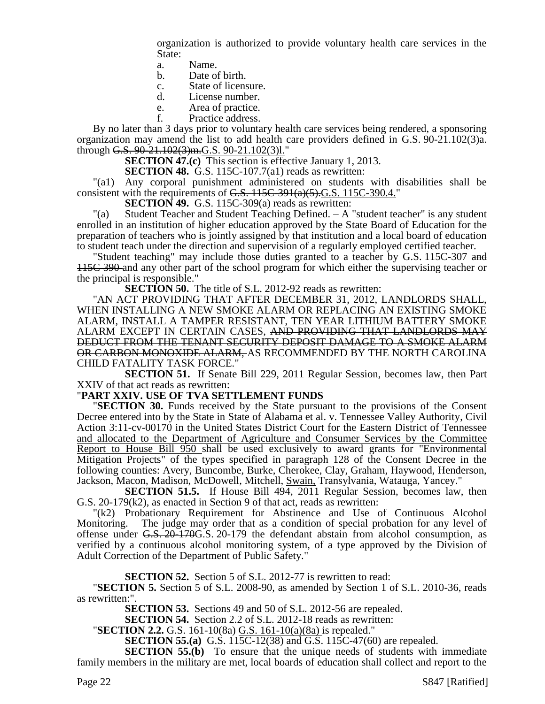organization is authorized to provide voluntary health care services in the State:

- a. Name.
- b. Date of birth.
- c. State of licensure.
- d. License number.
- e. Area of practice.
- f. Practice address.

By no later than 3 days prior to voluntary health care services being rendered, a sponsoring organization may amend the list to add health care providers defined in G.S. 90-21.102(3)a. through G.S. 90-21.102(3)m.G.S. 90-21.102(3)l."

**SECTION 47.(c)** This section is effective January 1, 2013.

**SECTION 48.** G.S. 115C-107.7(a1) reads as rewritten:

"(a1) Any corporal punishment administered on students with disabilities shall be consistent with the requirements of  $G.S. 115C-391(a)(5)$ . G.S. 115C-390.4."

**SECTION 49.** G.S. 115C-309(a) reads as rewritten:

"(a) Student Teacher and Student Teaching Defined. – A "student teacher" is any student enrolled in an institution of higher education approved by the State Board of Education for the preparation of teachers who is jointly assigned by that institution and a local board of education to student teach under the direction and supervision of a regularly employed certified teacher.

"Student teaching" may include those duties granted to a teacher by G.S. 115C-307 and 115C 390 and any other part of the school program for which either the supervising teacher or the principal is responsible."

**SECTION 50.** The title of S.L. 2012-92 reads as rewritten:

"AN ACT PROVIDING THAT AFTER DECEMBER 31, 2012, LANDLORDS SHALL, WHEN INSTALLING A NEW SMOKE ALARM OR REPLACING AN EXISTING SMOKE ALARM, INSTALL A TAMPER RESISTANT, TEN YEAR LITHIUM BATTERY SMOKE ALARM EXCEPT IN CERTAIN CASES, AND PROVIDING THAT LANDLORDS MAY DEDUCT FROM THE TENANT SECURITY DEPOSIT DAMAGE TO A SMOKE ALARM OR CARBON MONOXIDE ALARM, AS RECOMMENDED BY THE NORTH CAROLINA CHILD FATALITY TASK FORCE."

**SECTION 51.** If Senate Bill 229, 2011 Regular Session, becomes law, then Part XXIV of that act reads as rewritten:

#### "**PART XXIV. USE OF TVA SETTLEMENT FUNDS**

"**SECTION 30.** Funds received by the State pursuant to the provisions of the Consent Decree entered into by the State in State of Alabama et al. v. Tennessee Valley Authority, Civil Action 3:11-cv-00170 in the United States District Court for the Eastern District of Tennessee and allocated to the Department of Agriculture and Consumer Services by the Committee Report to House Bill 950 shall be used exclusively to award grants for "Environmental Mitigation Projects" of the types specified in paragraph 128 of the Consent Decree in the following counties: Avery, Buncombe, Burke, Cherokee, Clay, Graham, Haywood, Henderson, Jackson, Macon, Madison, McDowell, Mitchell, Swain, Transylvania, Watauga, Yancey."

**SECTION 51.5.** If House Bill 494, 2011 Regular Session, becomes law, then G.S. 20-179(k2), as enacted in Section 9 of that act, reads as rewritten:

"(k2) Probationary Requirement for Abstinence and Use of Continuous Alcohol Monitoring. – The judge may order that as a condition of special probation for any level of offense under G.S. 20-170G.S. 20-179 the defendant abstain from alcohol consumption, as verified by a continuous alcohol monitoring system, of a type approved by the Division of Adult Correction of the Department of Public Safety."

**SECTION 52.** Section 5 of S.L. 2012-77 is rewritten to read:

"**SECTION 5.** Section 5 of S.L. 2008-90, as amended by Section 1 of S.L. 2010-36, reads as rewritten:".

**SECTION 53.** Sections 49 and 50 of S.L. 2012-56 are repealed.

**SECTION 54.** Section 2.2 of S.L. 2012-18 reads as rewritten:

"**SECTION 2.2.** G.S. 161-10(8a) G.S. 161-10(a)(8a) is repealed."

**SECTION 55.(a)** G.S. 115C-12(38) and G.S. 115C-47(60) are repealed.

**SECTION 55.(b)** To ensure that the unique needs of students with immediate family members in the military are met, local boards of education shall collect and report to the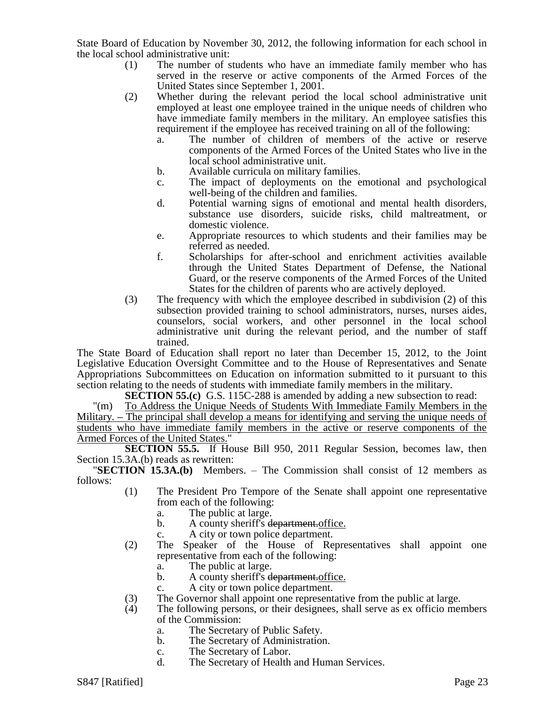State Board of Education by November 30, 2012, the following information for each school in the local school administrative unit:

- (1) The number of students who have an immediate family member who has served in the reserve or active components of the Armed Forces of the United States since September 1, 2001.
- (2) Whether during the relevant period the local school administrative unit employed at least one employee trained in the unique needs of children who have immediate family members in the military. An employee satisfies this requirement if the employee has received training on all of the following:
	- a. The number of children of members of the active or reserve components of the Armed Forces of the United States who live in the local school administrative unit.
	- b. Available curricula on military families.
	- c. The impact of deployments on the emotional and psychological well-being of the children and families.
	- d. Potential warning signs of emotional and mental health disorders, substance use disorders, suicide risks, child maltreatment, or domestic violence.
	- e. Appropriate resources to which students and their families may be referred as needed.
	- f. Scholarships for after-school and enrichment activities available through the United States Department of Defense, the National Guard, or the reserve components of the Armed Forces of the United States for the children of parents who are actively deployed.
- (3) The frequency with which the employee described in subdivision (2) of this subsection provided training to school administrators, nurses, nurses aides, counselors, social workers, and other personnel in the local school administrative unit during the relevant period, and the number of staff trained.

The State Board of Education shall report no later than December 15, 2012, to the Joint Legislative Education Oversight Committee and to the House of Representatives and Senate Appropriations Subcommittees on Education on information submitted to it pursuant to this section relating to the needs of students with immediate family members in the military.

**SECTION 55.(c)** G.S. 115C-288 is amended by adding a new subsection to read:

"(m) To Address the Unique Needs of Students With Immediate Family Members in the Military. **–** The principal shall develop a means for identifying and serving the unique needs of students who have immediate family members in the active or reserve components of the Armed Forces of the United States."

**SECTION 55.5.** If House Bill 950, 2011 Regular Session, becomes law, then Section 15.3A.(b) reads as rewritten:

"**SECTION 15.3A.(b)** Members. – The Commission shall consist of 12 members as follows:

- (1) The President Pro Tempore of the Senate shall appoint one representative from each of the following:
	- a. The public at large.
	- b. A county sheriff's department.office.
	- c. A city or town police department.
- (2) The Speaker of the House of Representatives shall appoint one representative from each of the following:
	- a. The public at large.
	- b. A county sheriff's department.office.
	- c. A city or town police department.
- (3) The Governor shall appoint one representative from the public at large.
- (4) The following persons, or their designees, shall serve as ex officio members of the Commission:
	- a. The Secretary of Public Safety.
	- b. The Secretary of Administration.
	- c. The Secretary of Labor.
	- d. The Secretary of Health and Human Services.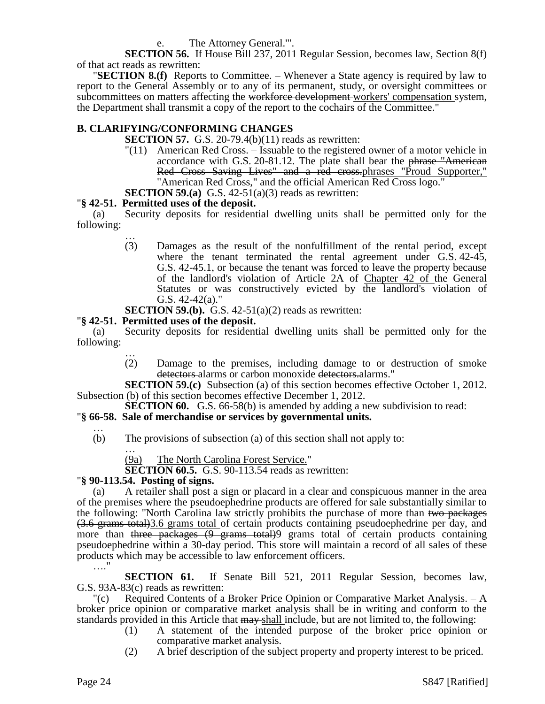The Attorney General."'.

**SECTION 56.** If House Bill 237, 2011 Regular Session, becomes law, Section 8(f) of that act reads as rewritten:

"**SECTION 8.(f)** Reports to Committee. – Whenever a State agency is required by law to report to the General Assembly or to any of its permanent, study, or oversight committees or subcommittees on matters affecting the workforce development workers' compensation system, the Department shall transmit a copy of the report to the cochairs of the Committee."

# **B. CLARIFYING/CONFORMING CHANGES**

**SECTION 57.** G.S. 20-79.4(b)(11) reads as rewritten:

"(11) American Red Cross. – Issuable to the registered owner of a motor vehicle in accordance with G.S. 20-81.12. The plate shall bear the phrase "American Red Cross Saving Lives" and a red cross.phrases "Proud Supporter," "American Red Cross," and the official American Red Cross logo."

**SECTION 59.(a)** G.S. 42-51(a)(3) reads as rewritten:

## "**§ 42-51. Permitted uses of the deposit.**

(a) Security deposits for residential dwelling units shall be permitted only for the following:

…

- (3) Damages as the result of the nonfulfillment of the rental period, except where the tenant terminated the rental agreement under G.S. 42-45, G.S. 42-45.1, or because the tenant was forced to leave the property because of the landlord's violation of Article 2A of Chapter 42 of the General Statutes or was constructively evicted by the landlord's violation of G.S. 42-42(a)."
- **SECTION 59.(b).** G.S. 42-51(a)(2) reads as rewritten:

## "**§ 42-51. Permitted uses of the deposit.**

(a) Security deposits for residential dwelling units shall be permitted only for the following:

… (2) Damage to the premises, including damage to or destruction of smoke detectors alarms or carbon monoxide detectors alarms."

**SECTION 59.(c)** Subsection (a) of this section becomes effective October 1, 2012. Subsection (b) of this section becomes effective December 1, 2012.

**SECTION 60.** G.S. 66-58(b) is amended by adding a new subdivision to read:

# "**§ 66-58. Sale of merchandise or services by governmental units.**

… (b) The provisions of subsection (a) of this section shall not apply to:

… (9a) The North Carolina Forest Service."

**SECTION 60.5.** G.S. 90-113.54 reads as rewritten:

# "**§ 90-113.54. Posting of signs.**

(a) A retailer shall post a sign or placard in a clear and conspicuous manner in the area of the premises where the pseudoephedrine products are offered for sale substantially similar to the following: "North Carolina law strictly prohibits the purchase of more than two packages (3.6 grams total)3.6 grams total of certain products containing pseudoephedrine per day, and more than three packages (9 grams total) grams total of certain products containing pseudoephedrine within a 30-day period. This store will maintain a record of all sales of these products which may be accessible to law enforcement officers. …."

**SECTION 61.** If Senate Bill 521, 2011 Regular Session, becomes law, G.S. 93A-83(c) reads as rewritten:

"(c) Required Contents of a Broker Price Opinion or Comparative Market Analysis. – A broker price opinion or comparative market analysis shall be in writing and conform to the standards provided in this Article that  $\frac{1}{m}$  max shall include, but are not limited to, the following:

- (1) A statement of the intended purpose of the broker price opinion or comparative market analysis.
- (2) A brief description of the subject property and property interest to be priced.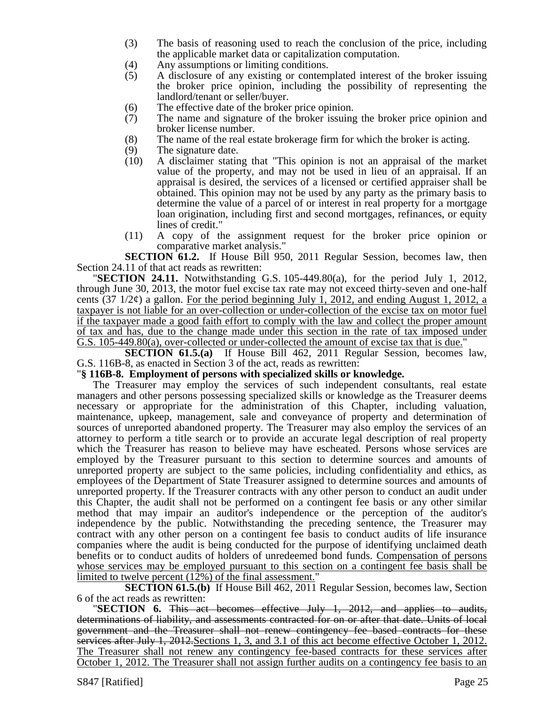- (3) The basis of reasoning used to reach the conclusion of the price, including the applicable market data or capitalization computation.
- (4) Any assumptions or limiting conditions.
- (5) A disclosure of any existing or contemplated interest of the broker issuing the broker price opinion, including the possibility of representing the landlord/tenant or seller/buyer.
- (6) The effective date of the broker price opinion.<br>(7) The name and signature of the broker issuing
- The name and signature of the broker issuing the broker price opinion and broker license number.
- (8) The name of the real estate brokerage firm for which the broker is acting.
- 
- (9) The signature date.<br>(10) A disclaimer stating (10) A disclaimer stating that "This opinion is not an appraisal of the market value of the property, and may not be used in lieu of an appraisal. If an appraisal is desired, the services of a licensed or certified appraiser shall be obtained. This opinion may not be used by any party as the primary basis to determine the value of a parcel of or interest in real property for a mortgage loan origination, including first and second mortgages, refinances, or equity lines of credit."
- (11) A copy of the assignment request for the broker price opinion or comparative market analysis."

**SECTION 61.2.** If House Bill 950, 2011 Regular Session, becomes law, then Section 24.11 of that act reads as rewritten:

"**SECTION 24.11.** Notwithstanding G.S. 105-449.80(a), for the period July 1, 2012, through June 30, 2013, the motor fuel excise tax rate may not exceed thirty-seven and one-half cents  $(37 \frac{1}{2}\phi)$  a gallon. For the period beginning July 1, 2012, and ending August 1, 2012, a taxpayer is not liable for an over-collection or under-collection of the excise tax on motor fuel if the taxpayer made a good faith effort to comply with the law and collect the proper amount of tax and has, due to the change made under this section in the rate of tax imposed under G.S. 105-449.80(a), over-collected or under-collected the amount of excise tax that is due."

**SECTION 61.5.(a)** If House Bill 462, 2011 Regular Session, becomes law, G.S. 116B-8, as enacted in Section 3 of the act, reads as rewritten:

## "**§ 116B-8. Employment of persons with specialized skills or knowledge.**

The Treasurer may employ the services of such independent consultants, real estate managers and other persons possessing specialized skills or knowledge as the Treasurer deems necessary or appropriate for the administration of this Chapter, including valuation, maintenance, upkeep, management, sale and conveyance of property and determination of sources of unreported abandoned property. The Treasurer may also employ the services of an attorney to perform a title search or to provide an accurate legal description of real property which the Treasurer has reason to believe may have escheated. Persons whose services are employed by the Treasurer pursuant to this section to determine sources and amounts of unreported property are subject to the same policies, including confidentiality and ethics, as employees of the Department of State Treasurer assigned to determine sources and amounts of unreported property. If the Treasurer contracts with any other person to conduct an audit under this Chapter, the audit shall not be performed on a contingent fee basis or any other similar method that may impair an auditor's independence or the perception of the auditor's independence by the public. Notwithstanding the preceding sentence, the Treasurer may contract with any other person on a contingent fee basis to conduct audits of life insurance companies where the audit is being conducted for the purpose of identifying unclaimed death benefits or to conduct audits of holders of unredeemed bond funds. Compensation of persons whose services may be employed pursuant to this section on a contingent fee basis shall be limited to twelve percent (12%) of the final assessment."

**SECTION 61.5.(b)** If House Bill 462, 2011 Regular Session, becomes law, Section 6 of the act reads as rewritten:

"**SECTION 6.** This act becomes effective July 1, 2012, and applies to audits, determinations of liability, and assessments contracted for on or after that date. Units of local government and the Treasurer shall not renew contingency fee based contracts for these services after July 1, 2012. Sections 1, 3, and 3.1 of this act become effective October 1, 2012. The Treasurer shall not renew any contingency fee-based contracts for these services after October 1, 2012. The Treasurer shall not assign further audits on a contingency fee basis to an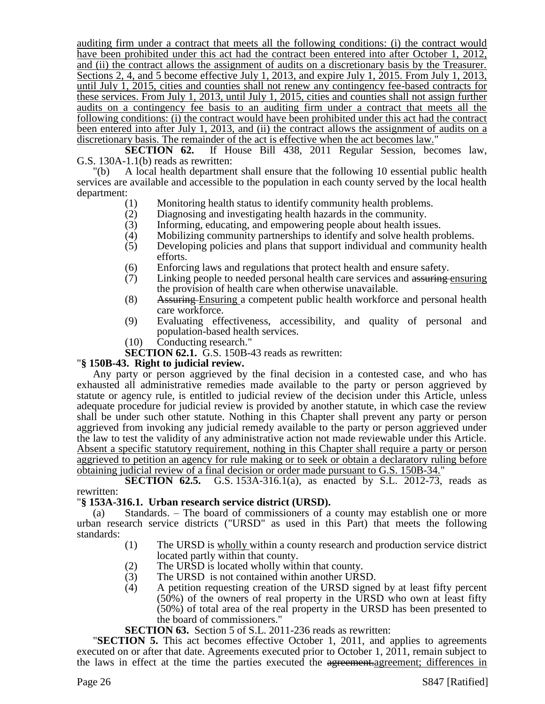auditing firm under a contract that meets all the following conditions: (i) the contract would have been prohibited under this act had the contract been entered into after October 1, 2012, and (ii) the contract allows the assignment of audits on a discretionary basis by the Treasurer. Sections 2, 4, and 5 become effective July 1, 2013, and expire July 1, 2015. From July 1, 2013, until July 1, 2015, cities and counties shall not renew any contingency fee-based contracts for these services. From July 1, 2013, until July 1, 2015, cities and counties shall not assign further audits on a contingency fee basis to an auditing firm under a contract that meets all the following conditions: (i) the contract would have been prohibited under this act had the contract been entered into after July 1, 2013, and (ii) the contract allows the assignment of audits on a discretionary basis. The remainder of the act is effective when the act becomes law."

**SECTION 62.** If House Bill 438, 2011 Regular Session, becomes law, G.S. 130A-1.1(b) reads as rewritten:

"(b) A local health department shall ensure that the following 10 essential public health services are available and accessible to the population in each county served by the local health department:

- (1) Monitoring health status to identify community health problems.
- (2) Diagnosing and investigating health hazards in the community.<br>
(3) Informing, educating, and empowering people about health issue
- Informing, educating, and empowering people about health issues.
- (4) Mobilizing community partnerships to identify and solve health problems.
- (5) Developing policies and plans that support individual and community health efforts.
- (6) Enforcing laws and regulations that protect health and ensure safety.<br>(7) Linking people to needed personal health care services and assuring
- Linking people to needed personal health care services and assuring ensuring the provision of health care when otherwise unavailable.
- (8) Assuring Ensuring a competent public health workforce and personal health care workforce.
- (9) Evaluating effectiveness, accessibility, and quality of personal and population-based health services.
- (10) Conducting research."

**SECTION 62.1.** G.S. 150B-43 reads as rewritten:

## "**§ 150B-43. Right to judicial review.**

Any party or person aggrieved by the final decision in a contested case, and who has exhausted all administrative remedies made available to the party or person aggrieved by statute or agency rule, is entitled to judicial review of the decision under this Article, unless adequate procedure for judicial review is provided by another statute, in which case the review shall be under such other statute. Nothing in this Chapter shall prevent any party or person aggrieved from invoking any judicial remedy available to the party or person aggrieved under the law to test the validity of any administrative action not made reviewable under this Article. Absent a specific statutory requirement, nothing in this Chapter shall require a party or person aggrieved to petition an agency for rule making or to seek or obtain a declaratory ruling before obtaining judicial review of a final decision or order made pursuant to G.S. 150B-34."

**SECTION 62.5.** G.S. 153A-316.1(a), as enacted by S.L. 2012-73, reads as rewritten:

## "**§ 153A-316.1. Urban research service district (URSD).**

(a) Standards. – The board of commissioners of a county may establish one or more urban research service districts ("URSD" as used in this Part) that meets the following standards:

- (1) The URSD is wholly within a county research and production service district located partly within that county.
- (2) The URSD is located wholly within that county.
- (3) The URSD is not contained within another URSD.
- (4) A petition requesting creation of the URSD signed by at least fifty percent (50%) of the owners of real property in the URSD who own at least fifty (50%) of total area of the real property in the URSD has been presented to the board of commissioners."

**SECTION 63.** Section 5 of S.L. 2011-236 reads as rewritten:

"**SECTION 5.** This act becomes effective October 1, 2011, and applies to agreements executed on or after that date. Agreements executed prior to October 1, 2011, remain subject to the laws in effect at the time the parties executed the agreement. agreement; differences in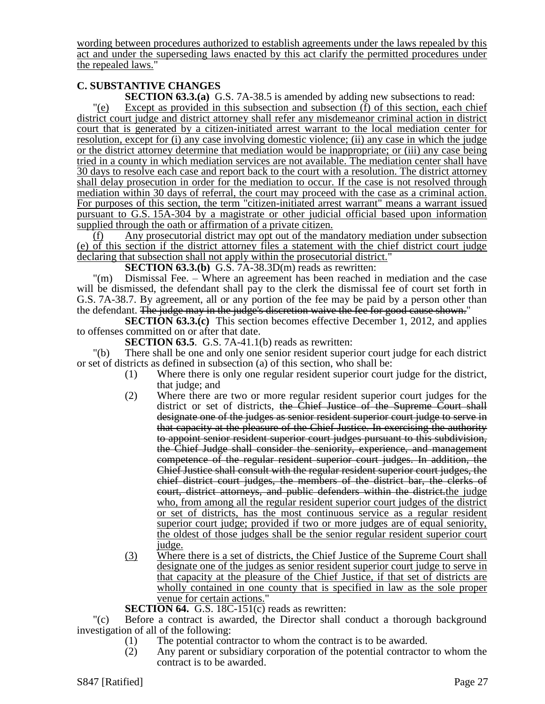wording between procedures authorized to establish agreements under the laws repealed by this act and under the superseding laws enacted by this act clarify the permitted procedures under the repealed laws."

# **C. SUBSTANTIVE CHANGES**

**SECTION 63.3.(a)** G.S. 7A-38.5 is amended by adding new subsections to read:

"(e) Except as provided in this subsection and subsection (f) of this section, each chief district court judge and district attorney shall refer any misdemeanor criminal action in district court that is generated by a citizen-initiated arrest warrant to the local mediation center for resolution, except for (i) any case involving domestic violence; (ii) any case in which the judge or the district attorney determine that mediation would be inappropriate; or (iii) any case being tried in a county in which mediation services are not available. The mediation center shall have 30 days to resolve each case and report back to the court with a resolution. The district attorney shall delay prosecution in order for the mediation to occur. If the case is not resolved through mediation within 30 days of referral, the court may proceed with the case as a criminal action. For purposes of this section, the term "citizen-initiated arrest warrant" means a warrant issued pursuant to G.S. 15A-304 by a magistrate or other judicial official based upon information supplied through the oath or affirmation of a private citizen.

(f) Any prosecutorial district may opt out of the mandatory mediation under subsection (e) of this section if the district attorney files a statement with the chief district court judge declaring that subsection shall not apply within the prosecutorial district."

**SECTION 63.3.(b)** G.S. 7A-38.3D(m) reads as rewritten:

"(m) Dismissal Fee. – Where an agreement has been reached in mediation and the case will be dismissed, the defendant shall pay to the clerk the dismissal fee of court set forth in G.S. 7A-38.7. By agreement, all or any portion of the fee may be paid by a person other than the defendant. The judge may in the judge's discretion waive the fee for good cause shown."

**SECTION 63.3.(c)** This section becomes effective December 1, 2012, and applies to offenses committed on or after that date.

**SECTION 63.5.** G.S. 7A-41.1(b) reads as rewritten:

"(b) There shall be one and only one senior resident superior court judge for each district or set of districts as defined in subsection (a) of this section, who shall be:

- (1) Where there is only one regular resident superior court judge for the district, that judge; and
- (2) Where there are two or more regular resident superior court judges for the district or set of districts, the Chief Justice of the Supreme Court shall designate one of the judges as senior resident superior court judge to serve in that capacity at the pleasure of the Chief Justice. In exercising the authority to appoint senior resident superior court judges pursuant to this subdivision, the Chief Judge shall consider the seniority, experience, and management competence of the regular resident superior court judges. In addition, the Chief Justice shall consult with the regular resident superior court judges, the chief district court judges, the members of the district bar, the clerks of court, district attorneys, and public defenders within the district.the judge who, from among all the regular resident superior court judges of the district or set of districts, has the most continuous service as a regular resident superior court judge; provided if two or more judges are of equal seniority, the oldest of those judges shall be the senior regular resident superior court judge.
- (3) Where there is a set of districts, the Chief Justice of the Supreme Court shall designate one of the judges as senior resident superior court judge to serve in that capacity at the pleasure of the Chief Justice, if that set of districts are wholly contained in one county that is specified in law as the sole proper venue for certain actions."

**SECTION 64.** G.S. 18C-151(c) reads as rewritten:

"(c) Before a contract is awarded, the Director shall conduct a thorough background investigation of all of the following:

- (1) The potential contractor to whom the contract is to be awarded.
- (2) Any parent or subsidiary corporation of the potential contractor to whom the contract is to be awarded.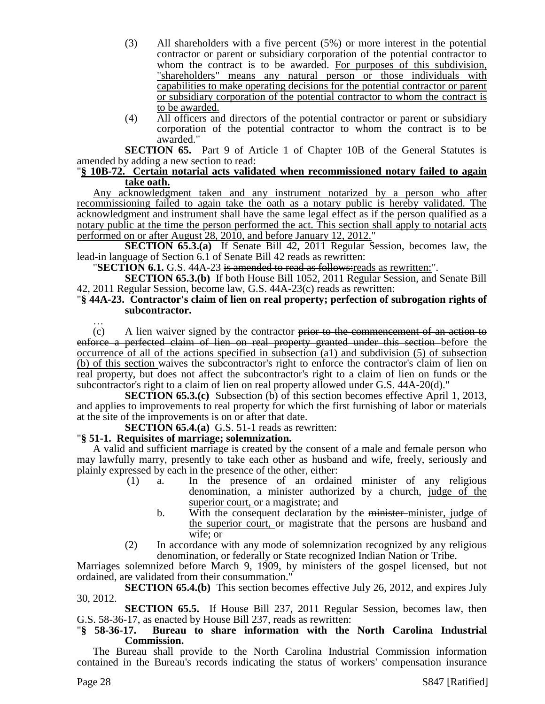- (3) All shareholders with a five percent (5%) or more interest in the potential contractor or parent or subsidiary corporation of the potential contractor to whom the contract is to be awarded. For purposes of this subdivision, "shareholders" means any natural person or those individuals with capabilities to make operating decisions for the potential contractor or parent or subsidiary corporation of the potential contractor to whom the contract is to be awarded.
- (4) All officers and directors of the potential contractor or parent or subsidiary corporation of the potential contractor to whom the contract is to be awarded."

**SECTION 65.** Part 9 of Article 1 of Chapter 10B of the General Statutes is amended by adding a new section to read:

#### "**§ 10B-72. Certain notarial acts validated when recommissioned notary failed to again take oath.**

Any acknowledgment taken and any instrument notarized by a person who after recommissioning failed to again take the oath as a notary public is hereby validated. The acknowledgment and instrument shall have the same legal effect as if the person qualified as a notary public at the time the person performed the act. This section shall apply to notarial acts performed on or after August 28, 2010, and before January 12, 2012."

**SECTION 65.3.(a)** If Senate Bill 42, 2011 Regular Session, becomes law, the lead-in language of Section 6.1 of Senate Bill 42 reads as rewritten:

"**SECTION 6.1.** G.S. 44A-23 is amended to read as follows:reads as rewritten:".

**SECTION 65.3.(b)** If both House Bill 1052, 2011 Regular Session, and Senate Bill 42, 2011 Regular Session, become law, G.S. 44A-23(c) reads as rewritten:

## "**§ 44A-23. Contractor's claim of lien on real property; perfection of subrogation rights of subcontractor.**

…  $(c)$  A lien waiver signed by the contractor prior to the commencement of an action to enforce a perfected claim of lien on real property granted under this section before the occurrence of all of the actions specified in subsection (a1) and subdivision (5) of subsection (b) of this section waives the subcontractor's right to enforce the contractor's claim of lien on real property, but does not affect the subcontractor's right to a claim of lien on funds or the subcontractor's right to a claim of lien on real property allowed under G.S. 44A-20(d)."

**SECTION 65.3.(c)** Subsection (b) of this section becomes effective April 1, 2013, and applies to improvements to real property for which the first furnishing of labor or materials at the site of the improvements is on or after that date.

**SECTION 65.4.(a)** G.S. 51-1 reads as rewritten:

# "**§ 51-1. Requisites of marriage; solemnization.**

A valid and sufficient marriage is created by the consent of a male and female person who may lawfully marry, presently to take each other as husband and wife, freely, seriously and plainly expressed by each in the presence of the other, either:

- (1) a. In the presence of an ordained minister of any religious denomination, a minister authorized by a church, judge of the superior court, or a magistrate; and
	- b. With the consequent declaration by the minister-minister, judge of the superior court, or magistrate that the persons are husband and wife; or
- (2) In accordance with any mode of solemnization recognized by any religious denomination, or federally or State recognized Indian Nation or Tribe.

Marriages solemnized before March 9, 1909, by ministers of the gospel licensed, but not ordained, are validated from their consummation."

**SECTION 65.4.(b)** This section becomes effective July 26, 2012, and expires July 30, 2012.

**SECTION 65.5.** If House Bill 237, 2011 Regular Session, becomes law, then G.S. 58-36-17, as enacted by House Bill 237, reads as rewritten:

## "**§ 58-36-17. Bureau to share information with the North Carolina Industrial Commission.**

The Bureau shall provide to the North Carolina Industrial Commission information contained in the Bureau's records indicating the status of workers' compensation insurance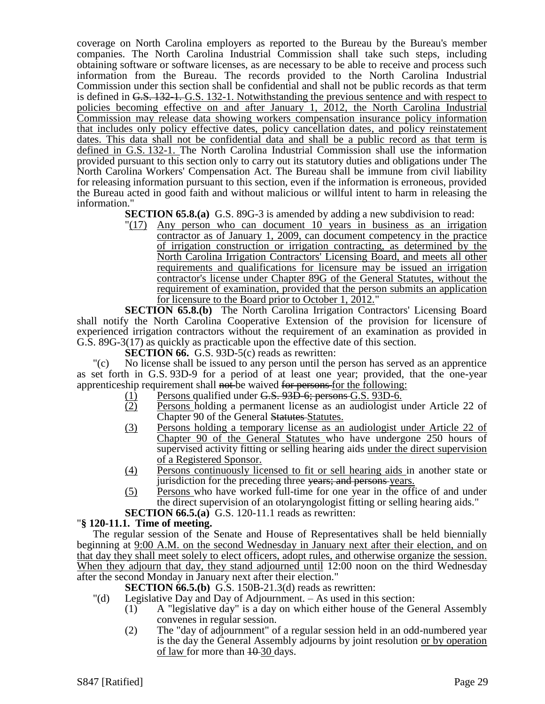coverage on North Carolina employers as reported to the Bureau by the Bureau's member companies. The North Carolina Industrial Commission shall take such steps, including obtaining software or software licenses, as are necessary to be able to receive and process such information from the Bureau. The records provided to the North Carolina Industrial Commission under this section shall be confidential and shall not be public records as that term is defined in G.S. 132-1. G.S. 132-1. Notwithstanding the previous sentence and with respect to policies becoming effective on and after January 1, 2012, the North Carolina Industrial Commission may release data showing workers compensation insurance policy information that includes only policy effective dates, policy cancellation dates, and policy reinstatement dates. This data shall not be confidential data and shall be a public record as that term is defined in G.S. 132-1. The North Carolina Industrial Commission shall use the information provided pursuant to this section only to carry out its statutory duties and obligations under The North Carolina Workers' Compensation Act. The Bureau shall be immune from civil liability for releasing information pursuant to this section, even if the information is erroneous, provided the Bureau acted in good faith and without malicious or willful intent to harm in releasing the information."

- **SECTION 65.8.(a)** G.S. 89G-3 is amended by adding a new subdivision to read:
	- "(17) Any person who can document 10 years in business as an irrigation contractor as of January 1, 2009, can document competency in the practice of irrigation construction or irrigation contracting, as determined by the North Carolina Irrigation Contractors' Licensing Board, and meets all other requirements and qualifications for licensure may be issued an irrigation contractor's license under Chapter 89G of the General Statutes, without the requirement of examination, provided that the person submits an application for licensure to the Board prior to October 1, 2012."

**SECTION 65.8.(b)** The North Carolina Irrigation Contractors' Licensing Board shall notify the North Carolina Cooperative Extension of the provision for licensure of experienced irrigation contractors without the requirement of an examination as provided in G.S. 89G-3(17) as quickly as practicable upon the effective date of this section.

**SECTION 66.** G.S. 93D-5(c) reads as rewritten:

"(c) No license shall be issued to any person until the person has served as an apprentice as set forth in G.S. 93D-9 for a period of at least one year; provided, that the one-year apprenticeship requirement shall not be waived for persons for the following:

- $\frac{(1)}{(2)}$  Persons qualified under G.S. 93D-6; persons G.S. 93D-6.<br>(2) Persons holding a permanent license as an audiologist u
- Persons holding a permanent license as an audiologist under Article 22 of Chapter 90 of the General Statutes Statutes.
- (3) Persons holding a temporary license as an audiologist under Article 22 of Chapter 90 of the General Statutes who have undergone 250 hours of supervised activity fitting or selling hearing aids under the direct supervision of a Registered Sponsor.
- (4) Persons continuously licensed to fit or sell hearing aids in another state or jurisdiction for the preceding three years; and persons years.
- (5) Persons who have worked full-time for one year in the office of and under the direct supervision of an otolaryngologist fitting or selling hearing aids."
- **SECTION 66.5.(a)** G.S. 120-11.1 reads as rewritten:

# "**§ 120-11.1. Time of meeting.**

The regular session of the Senate and House of Representatives shall be held biennially beginning at 9:00 A.M. on the second Wednesday in January next after their election, and on that day they shall meet solely to elect officers, adopt rules, and otherwise organize the session. When they adjourn that day, they stand adjourned until 12:00 noon on the third Wednesday after the second Monday in January next after their election."

**SECTION 66.5.(b)** G.S. 150B-21.3(d) reads as rewritten:

- "(d) Legislative Day and Day of Adjournment. As used in this section:
	- (1) A "legislative day" is a day on which either house of the General Assembly convenes in regular session.
	- (2) The "day of adjournment" of a regular session held in an odd-numbered year is the day the General Assembly adjourns by joint resolution or by operation of law for more than  $10-30$  days.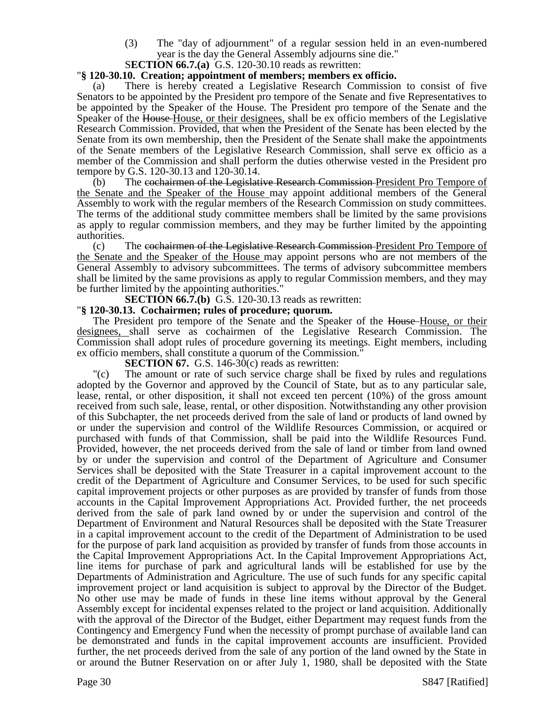- (3) The "day of adjournment" of a regular session held in an even-numbered year is the day the General Assembly adjourns sine die."
- S**ECTION 66.7.(a)** G.S. 120-30.10 reads as rewritten:

#### "**§ 120-30.10. Creation; appointment of members; members ex officio.**

There is hereby created a Legislative Research Commission to consist of five Senators to be appointed by the President pro tempore of the Senate and five Representatives to be appointed by the Speaker of the House. The President pro tempore of the Senate and the Speaker of the House-House, or their designees, shall be ex officio members of the Legislative Research Commission. Provided, that when the President of the Senate has been elected by the Senate from its own membership, then the President of the Senate shall make the appointments of the Senate members of the Legislative Research Commission, shall serve ex officio as a member of the Commission and shall perform the duties otherwise vested in the President pro tempore by G.S. 120-30.13 and 120-30.14.

 $(b)$  The cochairmen of the Legislative Research Commission-President Pro Tempore of the Senate and the Speaker of the House may appoint additional members of the General Assembly to work with the regular members of the Research Commission on study committees. The terms of the additional study committee members shall be limited by the same provisions as apply to regular commission members, and they may be further limited by the appointing authorities.

(c) The cochairmen of the Legislative Research Commission President Pro Tempore of the Senate and the Speaker of the House may appoint persons who are not members of the General Assembly to advisory subcommittees. The terms of advisory subcommittee members shall be limited by the same provisions as apply to regular Commission members, and they may be further limited by the appointing authorities."

**SECTION 66.7.(b)** G.S. 120-30.13 reads as rewritten:

#### "**§ 120-30.13. Cochairmen; rules of procedure; quorum.**

The President pro tempore of the Senate and the Speaker of the House-House, or their designees, shall serve as cochairmen of the Legislative Research Commission. The Commission shall adopt rules of procedure governing its meetings. Eight members, including ex officio members, shall constitute a quorum of the Commission."

**SECTION 67.** G.S. 146-30(c) reads as rewritten:

"(c) The amount or rate of such service charge shall be fixed by rules and regulations adopted by the Governor and approved by the Council of State, but as to any particular sale, lease, rental, or other disposition, it shall not exceed ten percent (10%) of the gross amount received from such sale, lease, rental, or other disposition. Notwithstanding any other provision of this Subchapter, the net proceeds derived from the sale of land or products of land owned by or under the supervision and control of the Wildlife Resources Commission, or acquired or purchased with funds of that Commission, shall be paid into the Wildlife Resources Fund. Provided, however, the net proceeds derived from the sale of land or timber from land owned by or under the supervision and control of the Department of Agriculture and Consumer Services shall be deposited with the State Treasurer in a capital improvement account to the credit of the Department of Agriculture and Consumer Services, to be used for such specific capital improvement projects or other purposes as are provided by transfer of funds from those accounts in the Capital Improvement Appropriations Act. Provided further, the net proceeds derived from the sale of park land owned by or under the supervision and control of the Department of Environment and Natural Resources shall be deposited with the State Treasurer in a capital improvement account to the credit of the Department of Administration to be used for the purpose of park land acquisition as provided by transfer of funds from those accounts in the Capital Improvement Appropriations Act. In the Capital Improvement Appropriations Act, line items for purchase of park and agricultural lands will be established for use by the Departments of Administration and Agriculture. The use of such funds for any specific capital improvement project or land acquisition is subject to approval by the Director of the Budget. No other use may be made of funds in these line items without approval by the General Assembly except for incidental expenses related to the project or land acquisition. Additionally with the approval of the Director of the Budget, either Department may request funds from the Contingency and Emergency Fund when the necessity of prompt purchase of available land can be demonstrated and funds in the capital improvement accounts are insufficient. Provided further, the net proceeds derived from the sale of any portion of the land owned by the State in or around the Butner Reservation on or after July 1, 1980, shall be deposited with the State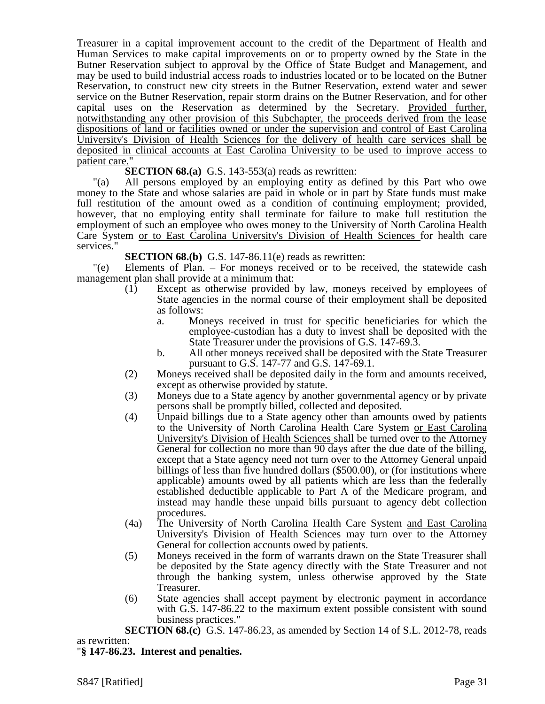Treasurer in a capital improvement account to the credit of the Department of Health and Human Services to make capital improvements on or to property owned by the State in the Butner Reservation subject to approval by the Office of State Budget and Management, and may be used to build industrial access roads to industries located or to be located on the Butner Reservation, to construct new city streets in the Butner Reservation, extend water and sewer service on the Butner Reservation, repair storm drains on the Butner Reservation, and for other capital uses on the Reservation as determined by the Secretary. Provided further, notwithstanding any other provision of this Subchapter, the proceeds derived from the lease dispositions of land or facilities owned or under the supervision and control of East Carolina University's Division of Health Sciences for the delivery of health care services shall be deposited in clinical accounts at East Carolina University to be used to improve access to patient care."

**SECTION 68.(a)** G.S. 143-553(a) reads as rewritten:

"(a) All persons employed by an employing entity as defined by this Part who owe money to the State and whose salaries are paid in whole or in part by State funds must make full restitution of the amount owed as a condition of continuing employment; provided, however, that no employing entity shall terminate for failure to make full restitution the employment of such an employee who owes money to the University of North Carolina Health Care System or to East Carolina University's Division of Health Sciences for health care services."

**SECTION 68.(b)** G.S. 147-86.11(e) reads as rewritten:

"(e) Elements of Plan. – For moneys received or to be received, the statewide cash management plan shall provide at a minimum that:

- (1) Except as otherwise provided by law, moneys received by employees of State agencies in the normal course of their employment shall be deposited as follows:
	- a. Moneys received in trust for specific beneficiaries for which the employee-custodian has a duty to invest shall be deposited with the State Treasurer under the provisions of G.S. 147-69.3.
	- b. All other moneys received shall be deposited with the State Treasurer pursuant to G.S. 147-77 and G.S. 147-69.1.
- (2) Moneys received shall be deposited daily in the form and amounts received, except as otherwise provided by statute.
- (3) Moneys due to a State agency by another governmental agency or by private persons shall be promptly billed, collected and deposited.
- (4) Unpaid billings due to a State agency other than amounts owed by patients to the University of North Carolina Health Care System or East Carolina University's Division of Health Sciences shall be turned over to the Attorney General for collection no more than 90 days after the due date of the billing, except that a State agency need not turn over to the Attorney General unpaid billings of less than five hundred dollars (\$500.00), or (for institutions where applicable) amounts owed by all patients which are less than the federally established deductible applicable to Part A of the Medicare program, and instead may handle these unpaid bills pursuant to agency debt collection procedures.
- (4a) The University of North Carolina Health Care System and East Carolina University's Division of Health Sciences may turn over to the Attorney General for collection accounts owed by patients.
- (5) Moneys received in the form of warrants drawn on the State Treasurer shall be deposited by the State agency directly with the State Treasurer and not through the banking system, unless otherwise approved by the State Treasurer.
- (6) State agencies shall accept payment by electronic payment in accordance with G.S. 147-86.22 to the maximum extent possible consistent with sound business practices."

**SECTION 68.(c)** G.S. 147-86.23, as amended by Section 14 of S.L. 2012-78, reads as rewritten:

## "**§ 147-86.23. Interest and penalties.**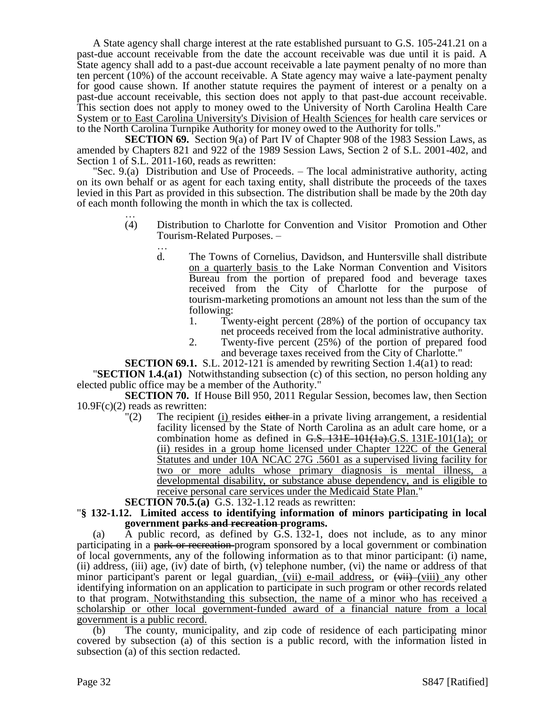A State agency shall charge interest at the rate established pursuant to G.S. 105-241.21 on a past-due account receivable from the date the account receivable was due until it is paid. A State agency shall add to a past-due account receivable a late payment penalty of no more than ten percent (10%) of the account receivable. A State agency may waive a late-payment penalty for good cause shown. If another statute requires the payment of interest or a penalty on a past-due account receivable, this section does not apply to that past-due account receivable. This section does not apply to money owed to the University of North Carolina Health Care System or to East Carolina University's Division of Health Sciences for health care services or to the North Carolina Turnpike Authority for money owed to the Authority for tolls."

**SECTION 69.** Section 9(a) of Part IV of Chapter 908 of the 1983 Session Laws, as amended by Chapters 821 and 922 of the 1989 Session Laws, Section 2 of S.L. 2001-402, and Section 1 of S.L. 2011-160, reads as rewritten:

"Sec. 9.(a) Distribution and Use of Proceeds. – The local administrative authority, acting on its own behalf or as agent for each taxing entity, shall distribute the proceeds of the taxes levied in this Part as provided in this subsection. The distribution shall be made by the 20th day of each month following the month in which the tax is collected.

- … (4) Distribution to Charlotte for Convention and Visitor Promotion and Other Tourism-Related Purposes. –
	- … d. The Towns of Cornelius, Davidson, and Huntersville shall distribute on a quarterly basis to the Lake Norman Convention and Visitors Bureau from the portion of prepared food and beverage taxes received from the City of Charlotte for the purpose of tourism-marketing promotions an amount not less than the sum of the following:
		- 1. Twenty-eight percent (28%) of the portion of occupancy tax net proceeds received from the local administrative authority.
		- 2. Twenty-five percent (25%) of the portion of prepared food and beverage taxes received from the City of Charlotte."

**SECTION 69.1.** S.L. 2012-121 is amended by rewriting Section 1.4(a1) to read:

"**SECTION 1.4.(a1)** Notwithstanding subsection (c) of this section, no person holding any elected public office may be a member of the Authority."

**SECTION 70.** If House Bill 950, 2011 Regular Session, becomes law, then Section 10.9F(c)(2) reads as rewritten:

- $\Gamma(2)$  The recipient (i) resides either in a private living arrangement, a residential facility licensed by the State of North Carolina as an adult care home, or a combination home as defined in  $G.S. 131E-101(1a)$ . G.S. 131E-101(1a); or (ii) resides in a group home licensed under Chapter 122C of the General Statutes and under 10A NCAC 27G .5601 as a supervised living facility for two or more adults whose primary diagnosis is mental illness, a developmental disability, or substance abuse dependency, and is eligible to receive personal care services under the Medicaid State Plan."
- **SECTION 70.5.(a)** G.S. 132-1.12 reads as rewritten:
- "**§ 132-1.12. Limited access to identifying information of minors participating in local government parks and recreation programs.**

(a)  $\overline{A}$  public record, as defined by G.S. 132-1, does not include, as to any minor participating in a park or recreation-program sponsored by a local government or combination of local governments, any of the following information as to that minor participant: (i) name, (ii) address, (iii) age, (iv) date of birth, (v) telephone number, (vi) the name or address of that minor participant's parent or legal guardian,  $(vii)$  e-mail address, or  $(viii)$  (viii) any other identifying information on an application to participate in such program or other records related to that program. Notwithstanding this subsection, the name of a minor who has received a scholarship or other local government-funded award of a financial nature from a local government is a public record.

(b) The county, municipality, and zip code of residence of each participating minor covered by subsection (a) of this section is a public record, with the information listed in subsection (a) of this section redacted.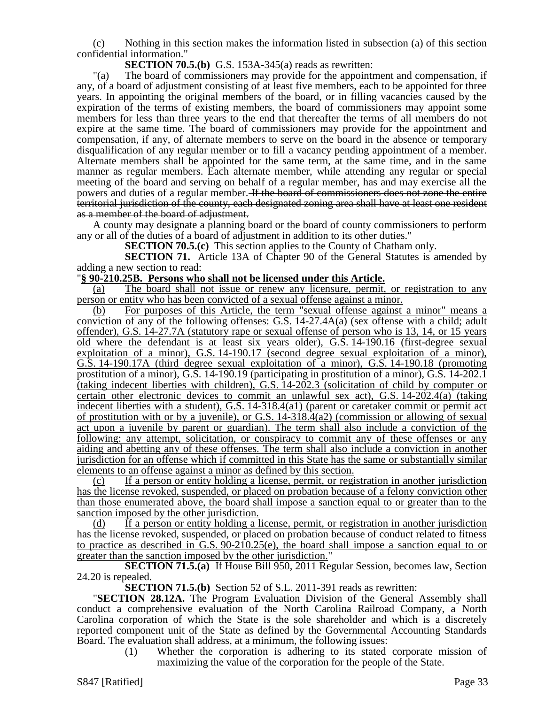(c) Nothing in this section makes the information listed in subsection (a) of this section confidential information."

**SECTION 70.5.(b)** G.S. 153A-345(a) reads as rewritten:

"(a) The board of commissioners may provide for the appointment and compensation, if any, of a board of adjustment consisting of at least five members, each to be appointed for three years. In appointing the original members of the board, or in filling vacancies caused by the expiration of the terms of existing members, the board of commissioners may appoint some members for less than three years to the end that thereafter the terms of all members do not expire at the same time. The board of commissioners may provide for the appointment and compensation, if any, of alternate members to serve on the board in the absence or temporary disqualification of any regular member or to fill a vacancy pending appointment of a member. Alternate members shall be appointed for the same term, at the same time, and in the same manner as regular members. Each alternate member, while attending any regular or special meeting of the board and serving on behalf of a regular member, has and may exercise all the powers and duties of a regular member. If the board of commissioners does not zone the entire territorial jurisdiction of the county, each designated zoning area shall have at least one resident as a member of the board of adjustment.

A county may designate a planning board or the board of county commissioners to perform any or all of the duties of a board of adjustment in addition to its other duties."

**SECTION 70.5.(c)** This section applies to the County of Chatham only.

**SECTION 71.** Article 13A of Chapter 90 of the General Statutes is amended by adding a new section to read:

#### "**§ 90-210.25B. Persons who shall not be licensed under this Article.**

(a) The board shall not issue or renew any licensure, permit, or registration to any person or entity who has been convicted of a sexual offense against a minor.

(b) For purposes of this Article, the term "sexual offense against a minor" means a conviction of any of the following offenses: G.S. 14-27.4A(a) (sex offense with a child; adult offender), G.S. 14-27.7A (statutory rape or sexual offense of person who is 13, 14, or 15 years old where the defendant is at least six years older), G.S. 14-190.16 (first-degree sexual exploitation of a minor), G.S. 14-190.17 (second degree sexual exploitation of a minor), G.S. 14-190.17A (third degree sexual exploitation of a minor), G.S. 14-190.18 (promoting prostitution of a minor), G.S. 14-190.19 (participating in prostitution of a minor), G.S. 14-202.1 (taking indecent liberties with children), G.S. 14-202.3 (solicitation of child by computer or certain other electronic devices to commit an unlawful sex act), G.S. 14-202.4(a) (taking indecent liberties with a student), G.S. 14-318.4(a1) (parent or caretaker commit or permit act of prostitution with or by a juvenile), or G.S. 14-318.4(a2) (commission or allowing of sexual act upon a juvenile by parent or guardian). The term shall also include a conviction of the following: any attempt, solicitation, or conspiracy to commit any of these offenses or any aiding and abetting any of these offenses. The term shall also include a conviction in another jurisdiction for an offense which if committed in this State has the same or substantially similar elements to an offense against a minor as defined by this section.

(c) If a person or entity holding a license, permit, or registration in another jurisdiction has the license revoked, suspended, or placed on probation because of a felony conviction other than those enumerated above, the board shall impose a sanction equal to or greater than to the sanction imposed by the other jurisdiction.

(d) If a person or entity holding a license, permit, or registration in another jurisdiction has the license revoked, suspended, or placed on probation because of conduct related to fitness to practice as described in G.S. 90-210.25(e), the board shall impose a sanction equal to or greater than the sanction imposed by the other jurisdiction."

**SECTION 71.5.(a)** If House Bill 950, 2011 Regular Session, becomes law, Section 24.20 is repealed.

**SECTION 71.5.(b)** Section 52 of S.L. 2011-391 reads as rewritten:

"**SECTION 28.12A.** The Program Evaluation Division of the General Assembly shall conduct a comprehensive evaluation of the North Carolina Railroad Company, a North Carolina corporation of which the State is the sole shareholder and which is a discretely reported component unit of the State as defined by the Governmental Accounting Standards Board. The evaluation shall address, at a minimum, the following issues:

(1) Whether the corporation is adhering to its stated corporate mission of maximizing the value of the corporation for the people of the State.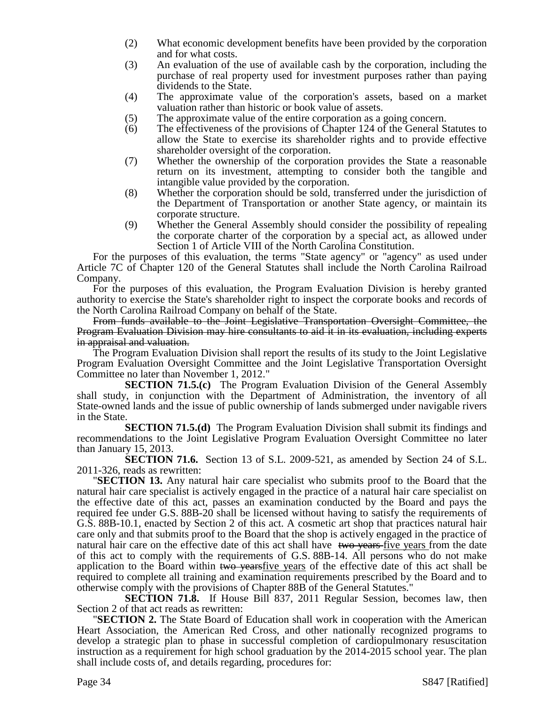- (2) What economic development benefits have been provided by the corporation and for what costs.
- (3) An evaluation of the use of available cash by the corporation, including the purchase of real property used for investment purposes rather than paying dividends to the State.
- (4) The approximate value of the corporation's assets, based on a market valuation rather than historic or book value of assets.
- (5) The approximate value of the entire corporation as a going concern.
- (6) The effectiveness of the provisions of Chapter 124 of the General Statutes to allow the State to exercise its shareholder rights and to provide effective shareholder oversight of the corporation.
- (7) Whether the ownership of the corporation provides the State a reasonable return on its investment, attempting to consider both the tangible and intangible value provided by the corporation.
- (8) Whether the corporation should be sold, transferred under the jurisdiction of the Department of Transportation or another State agency, or maintain its corporate structure.
- (9) Whether the General Assembly should consider the possibility of repealing the corporate charter of the corporation by a special act, as allowed under Section 1 of Article VIII of the North Carolina Constitution.

For the purposes of this evaluation, the terms "State agency" or "agency" as used under Article 7C of Chapter 120 of the General Statutes shall include the North Carolina Railroad Company.

For the purposes of this evaluation, the Program Evaluation Division is hereby granted authority to exercise the State's shareholder right to inspect the corporate books and records of the North Carolina Railroad Company on behalf of the State.

From funds available to the Joint Legislative Transportation Oversight Committee, the Program Evaluation Division may hire consultants to aid it in its evaluation, including experts in appraisal and valuation.

The Program Evaluation Division shall report the results of its study to the Joint Legislative Program Evaluation Oversight Committee and the Joint Legislative Transportation Oversight Committee no later than November 1, 2012."

**SECTION 71.5.(c)** The Program Evaluation Division of the General Assembly shall study, in conjunction with the Department of Administration, the inventory of all State-owned lands and the issue of public ownership of lands submerged under navigable rivers in the State.

**SECTION 71.5.(d)** The Program Evaluation Division shall submit its findings and recommendations to the Joint Legislative Program Evaluation Oversight Committee no later than January 15, 2013.

**SECTION 71.6.** Section 13 of S.L. 2009-521, as amended by Section 24 of S.L. 2011-326, reads as rewritten:

"**SECTION 13.** Any natural hair care specialist who submits proof to the Board that the natural hair care specialist is actively engaged in the practice of a natural hair care specialist on the effective date of this act, passes an examination conducted by the Board and pays the required fee under G.S. 88B-20 shall be licensed without having to satisfy the requirements of G.S. 88B-10.1, enacted by Section 2 of this act. A cosmetic art shop that practices natural hair care only and that submits proof to the Board that the shop is actively engaged in the practice of natural hair care on the effective date of this act shall have two years five years from the date of this act to comply with the requirements of G.S. 88B-14. All persons who do not make application to the Board within two yearsfive years of the effective date of this act shall be required to complete all training and examination requirements prescribed by the Board and to otherwise comply with the provisions of Chapter 88B of the General Statutes."

**SECTION 71.8.** If House Bill 837, 2011 Regular Session, becomes law, then Section 2 of that act reads as rewritten:

"**SECTION 2.** The State Board of Education shall work in cooperation with the American Heart Association, the American Red Cross, and other nationally recognized programs to develop a strategic plan to phase in successful completion of cardiopulmonary resuscitation instruction as a requirement for high school graduation by the 2014-2015 school year. The plan shall include costs of, and details regarding, procedures for: